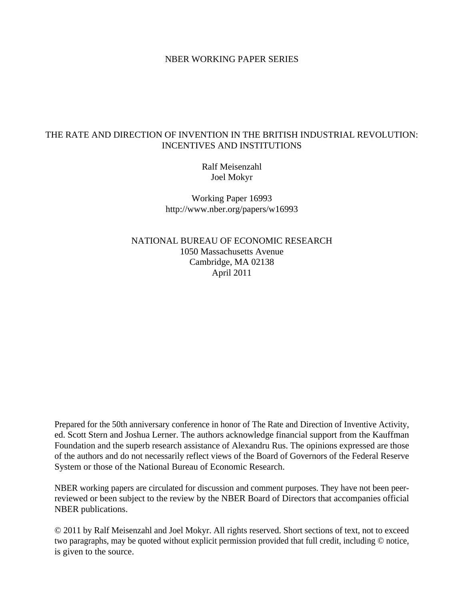## NBER WORKING PAPER SERIES

# THE RATE AND DIRECTION OF INVENTION IN THE BRITISH INDUSTRIAL REVOLUTION: INCENTIVES AND INSTITUTIONS

Ralf Meisenzahl Joel Mokyr

Working Paper 16993 http://www.nber.org/papers/w16993

NATIONAL BUREAU OF ECONOMIC RESEARCH 1050 Massachusetts Avenue Cambridge, MA 02138 April 2011

Prepared for the 50th anniversary conference in honor of The Rate and Direction of Inventive Activity, ed. Scott Stern and Joshua Lerner. The authors acknowledge financial support from the Kauffman Foundation and the superb research assistance of Alexandru Rus. The opinions expressed are those of the authors and do not necessarily reflect views of the Board of Governors of the Federal Reserve System or those of the National Bureau of Economic Research.

NBER working papers are circulated for discussion and comment purposes. They have not been peerreviewed or been subject to the review by the NBER Board of Directors that accompanies official NBER publications.

© 2011 by Ralf Meisenzahl and Joel Mokyr. All rights reserved. Short sections of text, not to exceed two paragraphs, may be quoted without explicit permission provided that full credit, including © notice, is given to the source.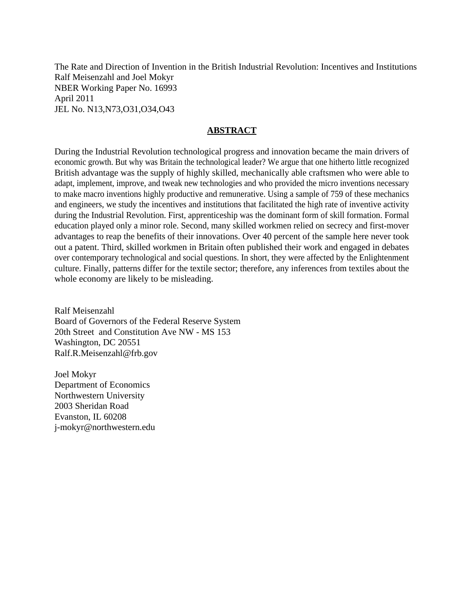The Rate and Direction of Invention in the British Industrial Revolution: Incentives and Institutions Ralf Meisenzahl and Joel Mokyr NBER Working Paper No. 16993 April 2011 JEL No. N13,N73,O31,O34,O43

# **ABSTRACT**

During the Industrial Revolution technological progress and innovation became the main drivers of economic growth. But why was Britain the technological leader? We argue that one hitherto little recognized British advantage was the supply of highly skilled, mechanically able craftsmen who were able to adapt, implement, improve, and tweak new technologies and who provided the micro inventions necessary to make macro inventions highly productive and remunerative. Using a sample of 759 of these mechanics and engineers, we study the incentives and institutions that facilitated the high rate of inventive activity during the Industrial Revolution. First, apprenticeship was the dominant form of skill formation. Formal education played only a minor role. Second, many skilled workmen relied on secrecy and first-mover advantages to reap the benefits of their innovations. Over 40 percent of the sample here never took out a patent. Third, skilled workmen in Britain often published their work and engaged in debates over contemporary technological and social questions. In short, they were affected by the Enlightenment culture. Finally, patterns differ for the textile sector; therefore, any inferences from textiles about the whole economy are likely to be misleading.

Ralf Meisenzahl Board of Governors of the Federal Reserve System 20th Street and Constitution Ave NW - MS 153 Washington, DC 20551 Ralf.R.Meisenzahl@frb.gov

Joel Mokyr Department of Economics Northwestern University 2003 Sheridan Road Evanston, IL 60208 j-mokyr@northwestern.edu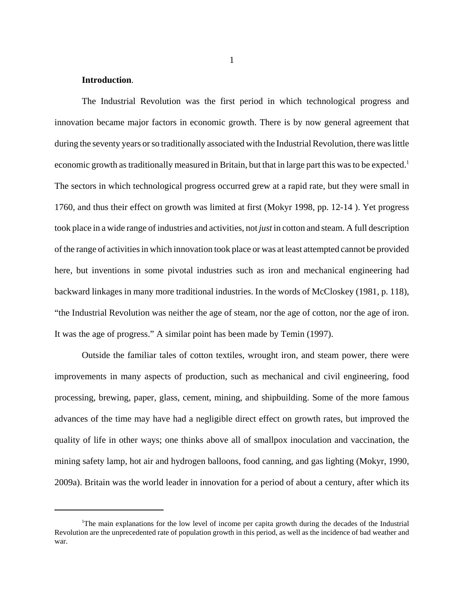## **Introduction**.

The Industrial Revolution was the first period in which technological progress and innovation became major factors in economic growth. There is by now general agreement that during the seventy years or so traditionally associated with the Industrial Revolution, there was little economic growth as traditionally measured in Britain, but that in large part this was to be expected.<sup>1</sup> The sectors in which technological progress occurred grew at a rapid rate, but they were small in 1760, and thus their effect on growth was limited at first (Mokyr 1998, pp. 12-14 ). Yet progress took place in a wide range of industries and activities, not *just* in cotton and steam. A full description of the range of activities in which innovation took place or was at least attempted cannot be provided here, but inventions in some pivotal industries such as iron and mechanical engineering had backward linkages in many more traditional industries. In the words of McCloskey (1981, p. 118), "the Industrial Revolution was neither the age of steam, nor the age of cotton, nor the age of iron. It was the age of progress." A similar point has been made by Temin (1997).

Outside the familiar tales of cotton textiles, wrought iron, and steam power, there were improvements in many aspects of production, such as mechanical and civil engineering, food processing, brewing, paper, glass, cement, mining, and shipbuilding. Some of the more famous advances of the time may have had a negligible direct effect on growth rates, but improved the quality of life in other ways; one thinks above all of smallpox inoculation and vaccination, the mining safety lamp, hot air and hydrogen balloons, food canning, and gas lighting (Mokyr, 1990, 2009a). Britain was the world leader in innovation for a period of about a century, after which its

<sup>&</sup>lt;sup>1</sup>The main explanations for the low level of income per capita growth during the decades of the Industrial Revolution are the unprecedented rate of population growth in this period, as well as the incidence of bad weather and war.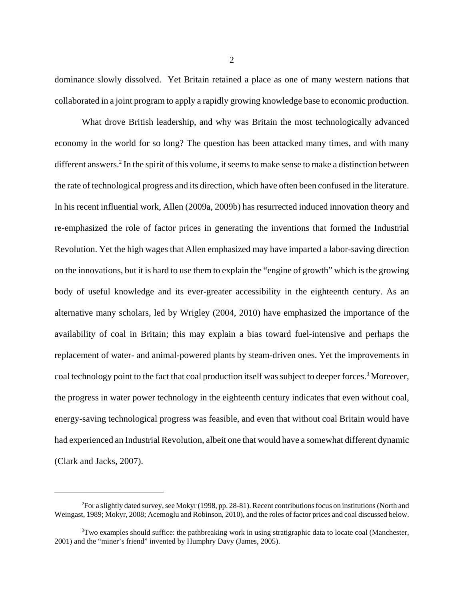dominance slowly dissolved. Yet Britain retained a place as one of many western nations that collaborated in a joint program to apply a rapidly growing knowledge base to economic production.

What drove British leadership, and why was Britain the most technologically advanced economy in the world for so long? The question has been attacked many times, and with many different answers.<sup>2</sup> In the spirit of this volume, it seems to make sense to make a distinction between the rate of technological progress and its direction, which have often been confused in the literature. In his recent influential work, Allen (2009a, 2009b) has resurrected induced innovation theory and re-emphasized the role of factor prices in generating the inventions that formed the Industrial Revolution. Yet the high wages that Allen emphasized may have imparted a labor-saving direction on the innovations, but it is hard to use them to explain the "engine of growth" which is the growing body of useful knowledge and its ever-greater accessibility in the eighteenth century. As an alternative many scholars, led by Wrigley (2004, 2010) have emphasized the importance of the availability of coal in Britain; this may explain a bias toward fuel-intensive and perhaps the replacement of water- and animal-powered plants by steam-driven ones. Yet the improvements in coal technology point to the fact that coal production itself was subject to deeper forces.<sup>3</sup> Moreover, the progress in water power technology in the eighteenth century indicates that even without coal, energy-saving technological progress was feasible, and even that without coal Britain would have had experienced an Industrial Revolution, albeit one that would have a somewhat different dynamic (Clark and Jacks, 2007).

<sup>&</sup>lt;sup>2</sup>For a slightly dated survey, see Mokyr (1998, pp. 28-81). Recent contributions focus on institutions (North and Weingast, 1989; Mokyr, 2008; Acemoglu and Robinson, 2010), and the roles of factor prices and coal discussed below.

<sup>&</sup>lt;sup>3</sup>Two examples should suffice: the pathbreaking work in using stratigraphic data to locate coal (Manchester, 2001) and the "miner's friend" invented by Humphry Davy (James, 2005).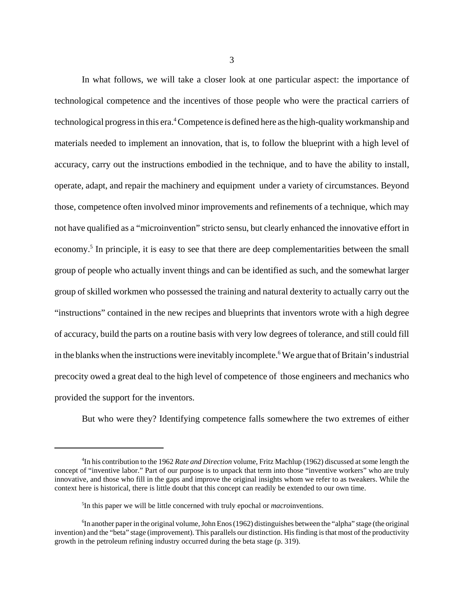In what follows, we will take a closer look at one particular aspect: the importance of technological competence and the incentives of those people who were the practical carriers of technological progress in this era.<sup>4</sup> Competence is defined here as the high-quality workmanship and materials needed to implement an innovation, that is, to follow the blueprint with a high level of accuracy, carry out the instructions embodied in the technique, and to have the ability to install, operate, adapt, and repair the machinery and equipment under a variety of circumstances. Beyond those, competence often involved minor improvements and refinements of a technique, which may not have qualified as a "microinvention" stricto sensu, but clearly enhanced the innovative effort in economy.<sup>5</sup> In principle, it is easy to see that there are deep complementarities between the small group of people who actually invent things and can be identified as such, and the somewhat larger group of skilled workmen who possessed the training and natural dexterity to actually carry out the "instructions" contained in the new recipes and blueprints that inventors wrote with a high degree of accuracy, build the parts on a routine basis with very low degrees of tolerance, and still could fill in the blanks when the instructions were inevitably incomplete.<sup>6</sup> We argue that of Britain's industrial precocity owed a great deal to the high level of competence of those engineers and mechanics who provided the support for the inventors.

But who were they? Identifying competence falls somewhere the two extremes of either

<sup>4</sup> In his contribution to the 1962 *Rate and Direction* volume, Fritz Machlup (1962) discussed at some length the concept of "inventive labor." Part of our purpose is to unpack that term into those "inventive workers" who are truly innovative, and those who fill in the gaps and improve the original insights whom we refer to as tweakers. While the context here is historical, there is little doubt that this concept can readily be extended to our own time.

<sup>5</sup> In this paper we will be little concerned with truly epochal or *macro*inventions.

<sup>&</sup>lt;sup>6</sup>In another paper in the original volume, John Enos (1962) distinguishes between the "alpha" stage (the original invention) and the "beta" stage (improvement). This parallels our distinction. His finding is that most of the productivity growth in the petroleum refining industry occurred during the beta stage (p. 319).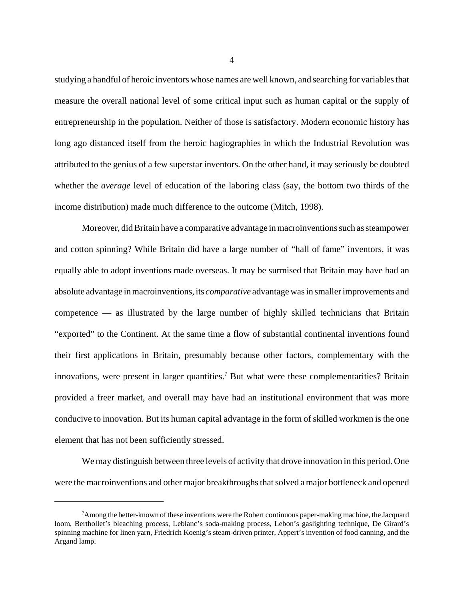studying a handful of heroic inventors whose names are well known, and searching for variables that measure the overall national level of some critical input such as human capital or the supply of entrepreneurship in the population. Neither of those is satisfactory. Modern economic history has long ago distanced itself from the heroic hagiographies in which the Industrial Revolution was attributed to the genius of a few superstar inventors. On the other hand, it may seriously be doubted whether the *average* level of education of the laboring class (say, the bottom two thirds of the income distribution) made much difference to the outcome (Mitch, 1998).

Moreover, did Britain have a comparative advantage in macroinventions such as steampower and cotton spinning? While Britain did have a large number of "hall of fame" inventors, it was equally able to adopt inventions made overseas. It may be surmised that Britain may have had an absolute advantage in macroinventions, its *comparative* advantage was in smaller improvements and competence — as illustrated by the large number of highly skilled technicians that Britain "exported" to the Continent. At the same time a flow of substantial continental inventions found their first applications in Britain, presumably because other factors, complementary with the innovations, were present in larger quantities.<sup>7</sup> But what were these complementarities? Britain provided a freer market, and overall may have had an institutional environment that was more conducive to innovation. But its human capital advantage in the form of skilled workmen is the one element that has not been sufficiently stressed.

We may distinguish between three levels of activity that drove innovation in this period. One were the macroinventions and other major breakthroughs that solved a major bottleneck and opened

<sup>&</sup>lt;sup>7</sup> Among the better-known of these inventions were the Robert continuous paper-making machine, the Jacquard loom, Berthollet's bleaching process, Leblanc's soda-making process, Lebon's gaslighting technique, De Girard's spinning machine for linen yarn, Friedrich Koenig's steam-driven printer, Appert's invention of food canning, and the Argand lamp.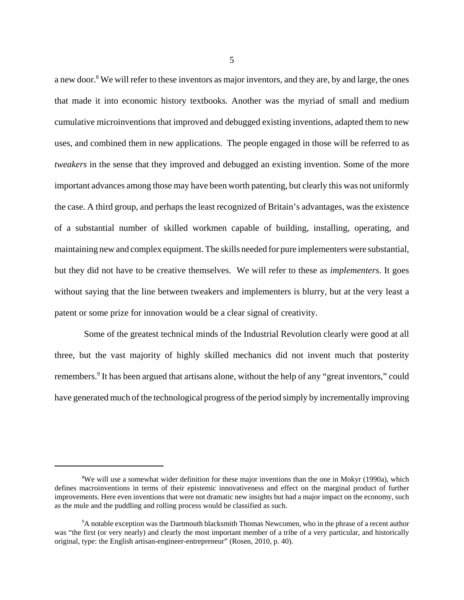a new door.<sup>8</sup> We will refer to these inventors as major inventors, and they are, by and large, the ones that made it into economic history textbooks*.* Another was the myriad of small and medium cumulative microinventions that improved and debugged existing inventions, adapted them to new uses, and combined them in new applications. The people engaged in those will be referred to as *tweakers* in the sense that they improved and debugged an existing invention. Some of the more important advances among those may have been worth patenting, but clearly this was not uniformly the case. A third group, and perhaps the least recognized of Britain's advantages, was the existence of a substantial number of skilled workmen capable of building, installing, operating, and maintaining new and complex equipment. The skills needed for pure implementers were substantial, but they did not have to be creative themselves. We will refer to these as *implementers*. It goes without saying that the line between tweakers and implementers is blurry, but at the very least a patent or some prize for innovation would be a clear signal of creativity.

 Some of the greatest technical minds of the Industrial Revolution clearly were good at all three, but the vast majority of highly skilled mechanics did not invent much that posterity remembers.<sup>9</sup> It has been argued that artisans alone, without the help of any "great inventors," could have generated much of the technological progress of the period simply by incrementally improving

<sup>&</sup>lt;sup>8</sup>We will use a somewhat wider definition for these major inventions than the one in Mokyr (1990a), which defines macroinventions in terms of their epistemic innovativeness and effect on the marginal product of further improvements. Here even inventions that were not dramatic new insights but had a major impact on the economy, such as the mule and the puddling and rolling process would be classified as such.

<sup>&</sup>lt;sup>9</sup>A notable exception was the Dartmouth blacksmith Thomas Newcomen, who in the phrase of a recent author was "the first (or very nearly) and clearly the most important member of a tribe of a very particular, and historically original, type: the English artisan-engineer-entrepreneur" (Rosen, 2010, p. 40).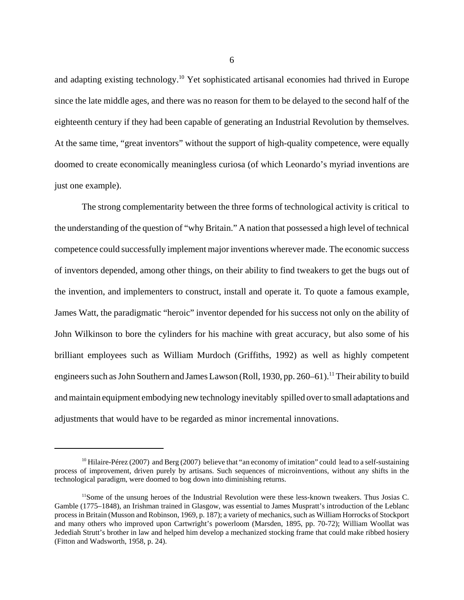and adapting existing technology.10 Yet sophisticated artisanal economies had thrived in Europe since the late middle ages, and there was no reason for them to be delayed to the second half of the eighteenth century if they had been capable of generating an Industrial Revolution by themselves. At the same time, "great inventors" without the support of high-quality competence, were equally doomed to create economically meaningless curiosa (of which Leonardo's myriad inventions are just one example).

The strong complementarity between the three forms of technological activity is critical to the understanding of the question of "why Britain." A nation that possessed a high level of technical competence could successfully implement major inventions wherever made. The economic success of inventors depended, among other things, on their ability to find tweakers to get the bugs out of the invention, and implementers to construct, install and operate it. To quote a famous example, James Watt, the paradigmatic "heroic" inventor depended for his success not only on the ability of John Wilkinson to bore the cylinders for his machine with great accuracy, but also some of his brilliant employees such as William Murdoch (Griffiths, 1992) as well as highly competent engineers such as John Southern and James Lawson (Roll, 1930, pp. 260–61).<sup>11</sup> Their ability to build and maintain equipment embodying new technology inevitably spilled over to small adaptations and adjustments that would have to be regarded as minor incremental innovations.

<sup>&</sup>lt;sup>10</sup> Hilaire-Pérez (2007) and Berg (2007) believe that "an economy of imitation" could lead to a self-sustaining process of improvement, driven purely by artisans. Such sequences of microinventions, without any shifts in the technological paradigm, were doomed to bog down into diminishing returns.

 $11$ Some of the unsung heroes of the Industrial Revolution were these less-known tweakers. Thus Josias C. Gamble (1775–1848), an Irishman trained in Glasgow, was essential to James Muspratt's introduction of the Leblanc process in Britain (Musson and Robinson, 1969, p. 187); a variety of mechanics, such as William Horrocks of Stockport and many others who improved upon Cartwright's powerloom (Marsden, 1895, pp. 70-72); William Woollat was Jedediah Strutt's brother in law and helped him develop a mechanized stocking frame that could make ribbed hosiery (Fitton and Wadsworth, 1958, p. 24).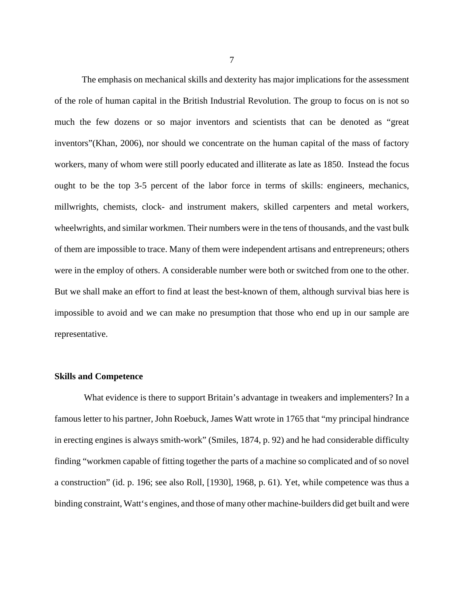The emphasis on mechanical skills and dexterity has major implications for the assessment of the role of human capital in the British Industrial Revolution. The group to focus on is not so much the few dozens or so major inventors and scientists that can be denoted as "great inventors"(Khan, 2006), nor should we concentrate on the human capital of the mass of factory workers, many of whom were still poorly educated and illiterate as late as 1850. Instead the focus ought to be the top 3-5 percent of the labor force in terms of skills: engineers, mechanics, millwrights, chemists, clock- and instrument makers, skilled carpenters and metal workers, wheelwrights, and similar workmen. Their numbers were in the tens of thousands, and the vast bulk of them are impossible to trace. Many of them were independent artisans and entrepreneurs; others were in the employ of others. A considerable number were both or switched from one to the other. But we shall make an effort to find at least the best-known of them, although survival bias here is impossible to avoid and we can make no presumption that those who end up in our sample are representative.

## **Skills and Competence**

 What evidence is there to support Britain's advantage in tweakers and implementers? In a famous letter to his partner, John Roebuck, James Watt wrote in 1765 that "my principal hindrance in erecting engines is always smith-work" (Smiles, 1874, p. 92) and he had considerable difficulty finding "workmen capable of fitting together the parts of a machine so complicated and of so novel a construction" (id. p. 196; see also Roll, [1930], 1968, p. 61). Yet, while competence was thus a binding constraint, Watt's engines, and those of many other machine-builders did get built and were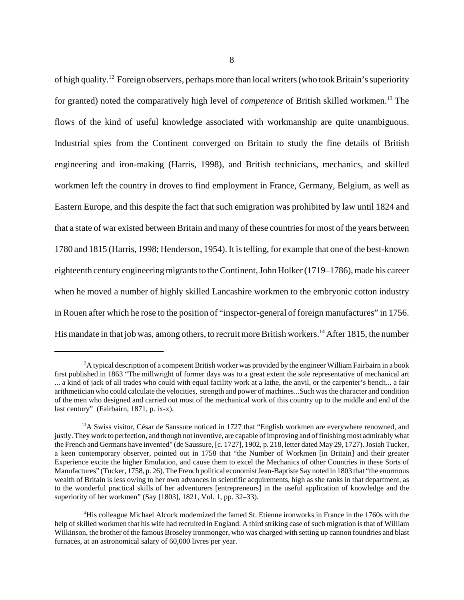of high quality.12 Foreign observers, perhaps more than local writers (who took Britain's superiority for granted) noted the comparatively high level of *competence* of British skilled workmen.13 The flows of the kind of useful knowledge associated with workmanship are quite unambiguous. Industrial spies from the Continent converged on Britain to study the fine details of British engineering and iron-making (Harris, 1998), and British technicians, mechanics, and skilled workmen left the country in droves to find employment in France, Germany, Belgium, as well as Eastern Europe, and this despite the fact that such emigration was prohibited by law until 1824 and that a state of war existed between Britain and many of these countries for most of the years between 1780 and 1815 (Harris, 1998; Henderson, 1954). It is telling, for example that one of the best-known eighteenth century engineering migrants to the Continent, John Holker (1719–1786), made his career when he moved a number of highly skilled Lancashire workmen to the embryonic cotton industry in Rouen after which he rose to the position of "inspector-general of foreign manufactures" in 1756. His mandate in that job was, among others, to recruit more British workers.<sup>14</sup> After 1815, the number

 $12A$  typical description of a competent British worker was provided by the engineer William Fairbairn in a book first published in 1863 "The millwright of former days was to a great extent the sole representative of mechanical art ... a kind of jack of all trades who could with equal facility work at a lathe, the anvil, or the carpenter's bench... a fair arithmetician who could calculate the velocities, strength and power of machines...Such was the character and condition of the men who designed and carried out most of the mechanical work of this country up to the middle and end of the last century" (Fairbairn, 1871, p. ix-x).

<sup>&</sup>lt;sup>13</sup>A Swiss visitor, César de Saussure noticed in 1727 that "English workmen are everywhere renowned, and justly. They work to perfection, and though not inventive, are capable of improving and of finishing most admirably what the French and Germans have invented" (de Saussure, [c. 1727], 1902, p. 218, letter dated May 29, 1727). Josiah Tucker, a keen contemporary observer, pointed out in 1758 that "the Number of Workmen [in Britain] and their greater Experience excite the higher Emulation, and cause them to excel the Mechanics of other Countries in these Sorts of Manufactures" (Tucker, 1758, p. 26). The French political economist Jean-Baptiste Say noted in 1803 that "the enormous wealth of Britain is less owing to her own advances in scientific acquirements, high as she ranks in that department, as to the wonderful practical skills of her adventurers [entrepreneurs] in the useful application of knowledge and the superiority of her workmen" (Say [1803], 1821, Vol. 1, pp. 32–33).

<sup>&</sup>lt;sup>14</sup>His colleague Michael Alcock modernized the famed St. Etienne ironworks in France in the 1760s with the help of skilled workmen that his wife had recruited in England. A third striking case of such migration is that of William Wilkinson, the brother of the famous Broseley ironmonger, who was charged with setting up cannon foundries and blast furnaces, at an astronomical salary of 60,000 livres per year.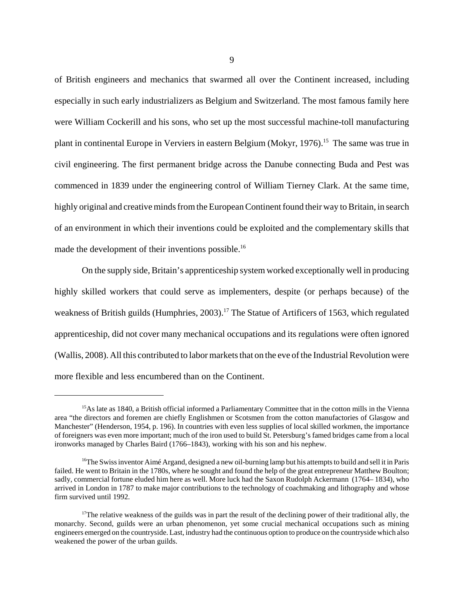of British engineers and mechanics that swarmed all over the Continent increased, including especially in such early industrializers as Belgium and Switzerland. The most famous family here were William Cockerill and his sons, who set up the most successful machine-toll manufacturing plant in continental Europe in Verviers in eastern Belgium (Mokyr, 1976).<sup>15</sup> The same was true in civil engineering. The first permanent bridge across the Danube connecting Buda and Pest was commenced in 1839 under the engineering control of William Tierney Clark. At the same time, highly original and creative minds from the European Continent found their way to Britain, in search of an environment in which their inventions could be exploited and the complementary skills that made the development of their inventions possible.<sup>16</sup>

On the supply side, Britain's apprenticeship system worked exceptionally well in producing highly skilled workers that could serve as implementers, despite (or perhaps because) of the weakness of British guilds (Humphries, 2003).<sup>17</sup> The Statue of Artificers of 1563, which regulated apprenticeship, did not cover many mechanical occupations and its regulations were often ignored (Wallis, 2008). All this contributed to labor markets that on the eve of the Industrial Revolution were more flexible and less encumbered than on the Continent.

<sup>&</sup>lt;sup>15</sup>As late as 1840, a British official informed a Parliamentary Committee that in the cotton mills in the Vienna area "the directors and foremen are chiefly Englishmen or Scotsmen from the cotton manufactories of Glasgow and Manchester" (Henderson, 1954, p. 196). In countries with even less supplies of local skilled workmen, the importance of foreigners was even more important; much of the iron used to build St. Petersburg's famed bridges came from a local ironworks managed by Charles Baird (1766–1843), working with his son and his nephew.

<sup>&</sup>lt;sup>16</sup>The Swiss inventor Aimé Argand, designed a new oil-burning lamp but his attempts to build and sell it in Paris failed. He went to Britain in the 1780s, where he sought and found the help of the great entrepreneur Matthew Boulton; sadly, commercial fortune eluded him here as well. More luck had the Saxon Rudolph Ackermann (1764– 1834), who arrived in London in 1787 to make major contributions to the technology of coachmaking and lithography and whose firm survived until 1992.

 $17$ The relative weakness of the guilds was in part the result of the declining power of their traditional ally, the monarchy. Second, guilds were an urban phenomenon, yet some crucial mechanical occupations such as mining engineers emerged on the countryside. Last, industry had the continuous option to produce on the countryside which also weakened the power of the urban guilds.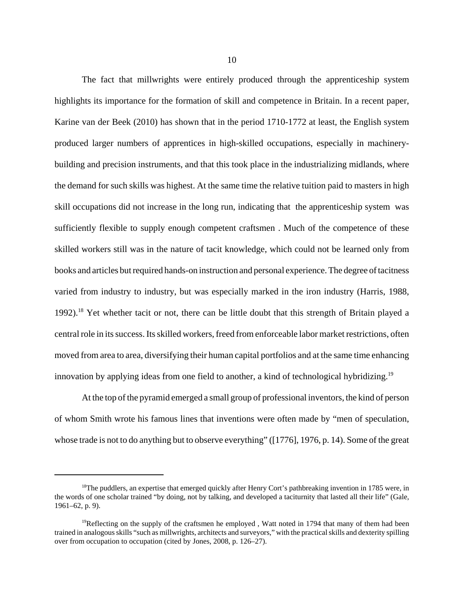The fact that millwrights were entirely produced through the apprenticeship system highlights its importance for the formation of skill and competence in Britain. In a recent paper, Karine van der Beek (2010) has shown that in the period 1710-1772 at least, the English system produced larger numbers of apprentices in high-skilled occupations, especially in machinerybuilding and precision instruments, and that this took place in the industrializing midlands, where the demand for such skills was highest. At the same time the relative tuition paid to masters in high skill occupations did not increase in the long run, indicating that the apprenticeship system was sufficiently flexible to supply enough competent craftsmen . Much of the competence of these skilled workers still was in the nature of tacit knowledge, which could not be learned only from books and articles but required hands-on instruction and personal experience. The degree of tacitness varied from industry to industry, but was especially marked in the iron industry (Harris, 1988, 1992).<sup>18</sup> Yet whether tacit or not, there can be little doubt that this strength of Britain played a central role in its success. Its skilled workers, freed from enforceable labor market restrictions, often moved from area to area, diversifying their human capital portfolios and at the same time enhancing innovation by applying ideas from one field to another, a kind of technological hybridizing.<sup>19</sup>

At the top of the pyramid emerged a small group of professional inventors, the kind of person of whom Smith wrote his famous lines that inventions were often made by "men of speculation, whose trade is not to do anything but to observe everything" ([1776], 1976, p. 14). Some of the great

<sup>&</sup>lt;sup>18</sup>The puddlers, an expertise that emerged quickly after Henry Cort's pathbreaking invention in 1785 were, in the words of one scholar trained "by doing, not by talking, and developed a taciturnity that lasted all their life" (Gale, 1961–62, p. 9).

<sup>&</sup>lt;sup>19</sup>Reflecting on the supply of the craftsmen he employed, Watt noted in 1794 that many of them had been trained in analogous skills "such as millwrights, architects and surveyors," with the practical skills and dexterity spilling over from occupation to occupation (cited by Jones, 2008, p. 126–27).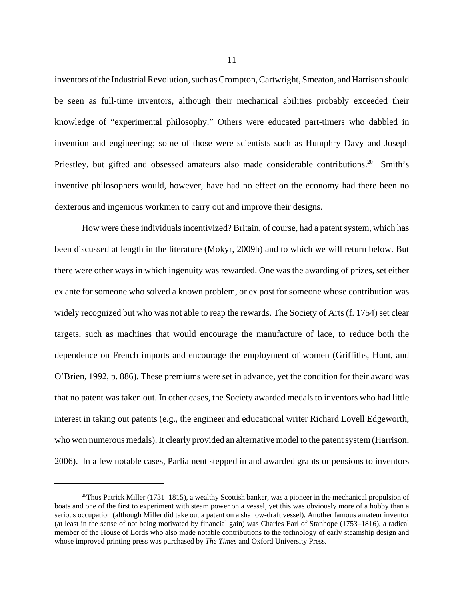inventors of the Industrial Revolution, such as Crompton, Cartwright, Smeaton, and Harrison should be seen as full-time inventors, although their mechanical abilities probably exceeded their knowledge of "experimental philosophy." Others were educated part-timers who dabbled in invention and engineering; some of those were scientists such as Humphry Davy and Joseph Priestley, but gifted and obsessed amateurs also made considerable contributions.<sup>20</sup> Smith's inventive philosophers would, however, have had no effect on the economy had there been no dexterous and ingenious workmen to carry out and improve their designs.

How were these individuals incentivized? Britain, of course, had a patent system, which has been discussed at length in the literature (Mokyr, 2009b) and to which we will return below. But there were other ways in which ingenuity was rewarded. One was the awarding of prizes, set either ex ante for someone who solved a known problem, or ex post for someone whose contribution was widely recognized but who was not able to reap the rewards. The Society of Arts (f. 1754) set clear targets, such as machines that would encourage the manufacture of lace, to reduce both the dependence on French imports and encourage the employment of women (Griffiths, Hunt, and O'Brien, 1992, p. 886). These premiums were set in advance, yet the condition for their award was that no patent was taken out. In other cases, the Society awarded medals to inventors who had little interest in taking out patents (e.g., the engineer and educational writer Richard Lovell Edgeworth, who won numerous medals). It clearly provided an alternative model to the patent system (Harrison, 2006). In a few notable cases, Parliament stepped in and awarded grants or pensions to inventors

<sup>&</sup>lt;sup>20</sup>Thus Patrick Miller (1731–1815), a wealthy Scottish banker, was a pioneer in the mechanical propulsion of boats and one of the first to experiment with steam power on a vessel, yet this was obviously more of a hobby than a serious occupation (although Miller did take out a patent on a shallow-draft vessel). Another famous amateur inventor (at least in the sense of not being motivated by financial gain) was Charles Earl of Stanhope (1753–1816), a radical member of the House of Lords who also made notable contributions to the technology of early steamship design and whose improved printing press was purchased by *The Times* and Oxford University Press*.*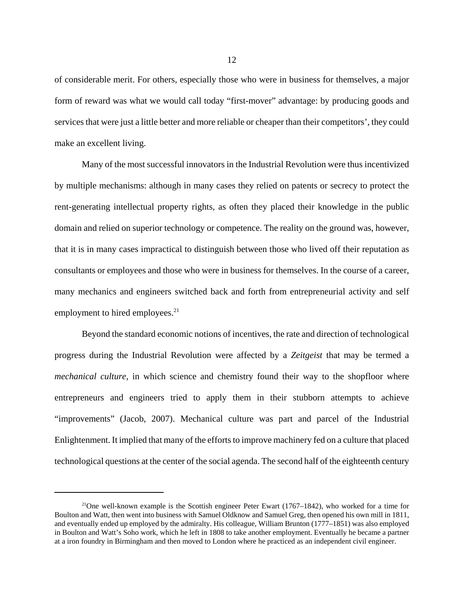of considerable merit. For others, especially those who were in business for themselves, a major form of reward was what we would call today "first-mover" advantage: by producing goods and services that were just a little better and more reliable or cheaper than their competitors', they could make an excellent living.

Many of the most successful innovators in the Industrial Revolution were thus incentivized by multiple mechanisms: although in many cases they relied on patents or secrecy to protect the rent-generating intellectual property rights, as often they placed their knowledge in the public domain and relied on superior technology or competence. The reality on the ground was, however, that it is in many cases impractical to distinguish between those who lived off their reputation as consultants or employees and those who were in business for themselves. In the course of a career, many mechanics and engineers switched back and forth from entrepreneurial activity and self employment to hired employees.<sup>21</sup>

Beyond the standard economic notions of incentives, the rate and direction of technological progress during the Industrial Revolution were affected by a *Zeitgeist* that may be termed a *mechanical culture*, in which science and chemistry found their way to the shopfloor where entrepreneurs and engineers tried to apply them in their stubborn attempts to achieve "improvements" (Jacob, 2007). Mechanical culture was part and parcel of the Industrial Enlightenment. It implied that many of the efforts to improve machinery fed on a culture that placed technological questions at the center of the social agenda. The second half of the eighteenth century

<sup>&</sup>lt;sup>21</sup>One well-known example is the Scottish engineer Peter Ewart (1767–1842), who worked for a time for Boulton and Watt, then went into business with Samuel Oldknow and Samuel Greg, then opened his own mill in 1811, and eventually ended up employed by the admiralty. His colleague, William Brunton (1777–1851) was also employed in Boulton and Watt's Soho work, which he left in 1808 to take another employment. Eventually he became a partner at a iron foundry in Birmingham and then moved to London where he practiced as an independent civil engineer.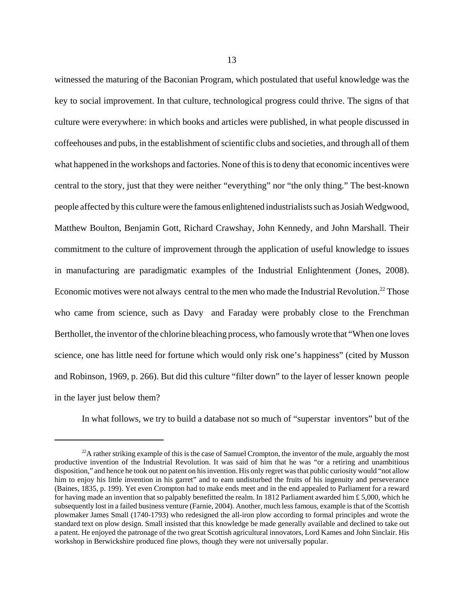witnessed the maturing of the Baconian Program, which postulated that useful knowledge was the key to social improvement. In that culture, technological progress could thrive. The signs of that culture were everywhere: in which books and articles were published, in what people discussed in coffeehouses and pubs, in the establishment of scientific clubs and societies, and through all of them what happened in the workshops and factories. None of this is to deny that economic incentives were central to the story, just that they were neither "everything" nor "the only thing." The best-known people affected by this culture were the famous enlightened industrialists such as Josiah Wedgwood, Matthew Boulton, Benjamin Gott, Richard Crawshay, John Kennedy, and John Marshall. Their commitment to the culture of improvement through the application of useful knowledge to issues in manufacturing are paradigmatic examples of the Industrial Enlightenment (Jones, 2008). Economic motives were not always central to the men who made the Industrial Revolution.<sup>22</sup> Those who came from science, such as Davy and Faraday were probably close to the Frenchman Berthollet, the inventor of the chlorine bleaching process, who famously wrote that "When one loves science, one has little need for fortune which would only risk one's happiness" (cited by Musson and Robinson, 1969, p. 266). But did this culture "filter down" to the layer of lesser known people in the layer just below them?

In what follows, we try to build a database not so much of "superstar inventors" but of the

 $22A$  rather striking example of this is the case of Samuel Crompton, the inventor of the mule, arguably the most productive invention of the Industrial Revolution. It was said of him that he was "or a retiring and unambitious disposition," and hence he took out no patent on his invention. His only regret was that public curiosity would "not allow him to enjoy his little invention in his garret" and to earn undisturbed the fruits of his ingenuity and perseverance (Baines, 1835, p. 199). Yet even Crompton had to make ends meet and in the end appealed to Parliament for a reward for having made an invention that so palpably benefitted the realm. In 1812 Parliament awarded him £ 5,000, which he subsequently lost in a failed business venture (Farnie, 2004). Another, much less famous, example is that of the Scottish plowmaker James Small (1740-1793) who redesigned the all-iron plow according to formal principles and wrote the standard text on plow design. Small insisted that this knowledge be made generally available and declined to take out a patent. He enjoyed the patronage of the two great Scottish agricultural innovators, Lord Kames and John Sinclair. His workshop in Berwickshire produced fine plows, though they were not universally popular.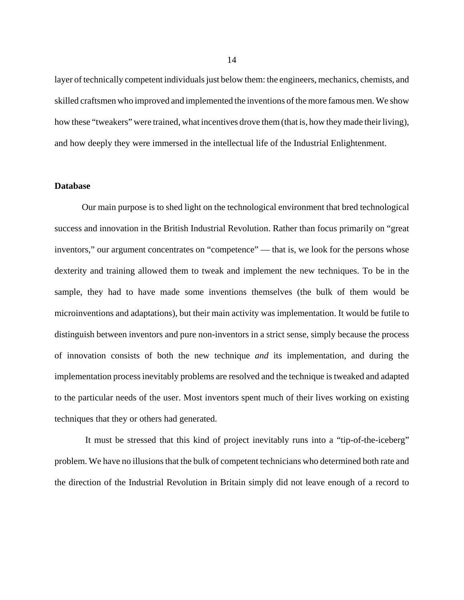layer of technically competent individuals just below them: the engineers, mechanics, chemists, and skilled craftsmen who improved and implemented the inventions of the more famous men. We show how these "tweakers" were trained, what incentives drove them (that is, how they made their living), and how deeply they were immersed in the intellectual life of the Industrial Enlightenment.

## **Database**

Our main purpose is to shed light on the technological environment that bred technological success and innovation in the British Industrial Revolution. Rather than focus primarily on "great inventors," our argument concentrates on "competence" — that is, we look for the persons whose dexterity and training allowed them to tweak and implement the new techniques. To be in the sample, they had to have made some inventions themselves (the bulk of them would be microinventions and adaptations), but their main activity was implementation. It would be futile to distinguish between inventors and pure non-inventors in a strict sense, simply because the process of innovation consists of both the new technique *and* its implementation, and during the implementation process inevitably problems are resolved and the technique is tweaked and adapted to the particular needs of the user. Most inventors spent much of their lives working on existing techniques that they or others had generated.

 It must be stressed that this kind of project inevitably runs into a "tip-of-the-iceberg" problem. We have no illusions that the bulk of competent technicians who determined both rate and the direction of the Industrial Revolution in Britain simply did not leave enough of a record to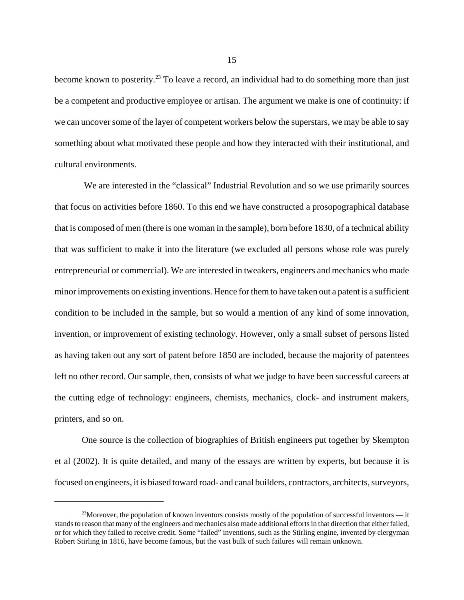become known to posterity.<sup>23</sup> To leave a record, an individual had to do something more than just be a competent and productive employee or artisan. The argument we make is one of continuity: if we can uncover some of the layer of competent workers below the superstars, we may be able to say something about what motivated these people and how they interacted with their institutional, and cultural environments.

 We are interested in the "classical" Industrial Revolution and so we use primarily sources that focus on activities before 1860. To this end we have constructed a prosopographical database that is composed of men (there is one woman in the sample), born before 1830, of a technical ability that was sufficient to make it into the literature (we excluded all persons whose role was purely entrepreneurial or commercial). We are interested in tweakers, engineers and mechanics who made minor improvements on existing inventions. Hence for them to have taken out a patent is a sufficient condition to be included in the sample, but so would a mention of any kind of some innovation, invention, or improvement of existing technology. However, only a small subset of persons listed as having taken out any sort of patent before 1850 are included, because the majority of patentees left no other record. Our sample, then, consists of what we judge to have been successful careers at the cutting edge of technology: engineers, chemists, mechanics, clock- and instrument makers, printers, and so on.

One source is the collection of biographies of British engineers put together by Skempton et al (2002). It is quite detailed, and many of the essays are written by experts, but because it is focused on engineers, it is biased toward road- and canal builders, contractors, architects, surveyors,

 $^{23}$ Moreover, the population of known inventors consists mostly of the population of successful inventors — it stands to reason that many of the engineers and mechanics also made additional efforts in that direction that either failed, or for which they failed to receive credit. Some "failed" inventions, such as the Stirling engine, invented by clergyman Robert Stirling in 1816, have become famous, but the vast bulk of such failures will remain unknown.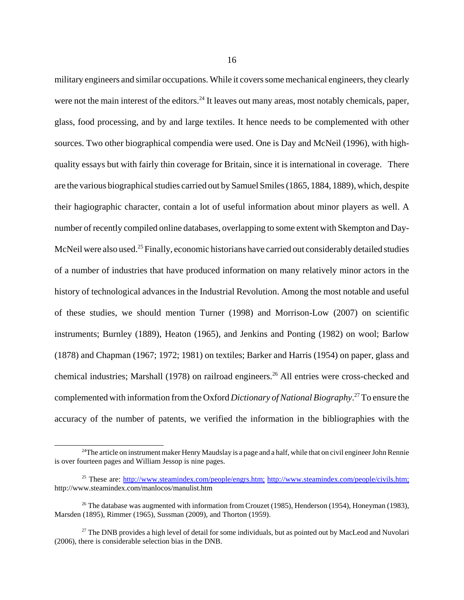military engineers and similar occupations. While it covers some mechanical engineers, they clearly were not the main interest of the editors.<sup>24</sup> It leaves out many areas, most notably chemicals, paper, glass, food processing, and by and large textiles. It hence needs to be complemented with other sources. Two other biographical compendia were used. One is Day and McNeil (1996), with highquality essays but with fairly thin coverage for Britain, since it is international in coverage. There are the various biographical studies carried out by Samuel Smiles (1865, 1884, 1889), which, despite their hagiographic character, contain a lot of useful information about minor players as well. A number of recently compiled online databases, overlapping to some extent with Skempton and Day-McNeil were also used.<sup>25</sup> Finally, economic historians have carried out considerably detailed studies of a number of industries that have produced information on many relatively minor actors in the history of technological advances in the Industrial Revolution. Among the most notable and useful of these studies, we should mention Turner (1998) and Morrison-Low (2007) on scientific instruments; Burnley (1889), Heaton (1965), and Jenkins and Ponting (1982) on wool; Barlow (1878) and Chapman (1967; 1972; 1981) on textiles; Barker and Harris (1954) on paper, glass and chemical industries; Marshall (1978) on railroad engineers.<sup>26</sup> All entries were cross-checked and complemented with information from the Oxford *Dictionary of National Biography*. 27 To ensure the accuracy of the number of patents, we verified the information in the bibliographies with the

<sup>&</sup>lt;sup>24</sup>The article on instrument maker Henry Maudslay is a page and a half, while that on civil engineer John Rennie is over fourteen pages and William Jessop is nine pages.

<sup>&</sup>lt;sup>25</sup> These are: http://www.steamindex.com/people/engrs.htm; http://www.steamindex.com/people/civils.htm; http://www.steamindex.com/manlocos/manulist.htm

<sup>&</sup>lt;sup>26</sup> The database was augmented with information from Crouzet (1985), Henderson (1954), Honeyman (1983), Marsden (1895), Rimmer (1965), Sussman (2009), and Thorton (1959).

<sup>&</sup>lt;sup>27</sup> The DNB provides a high level of detail for some individuals, but as pointed out by MacLeod and Nuvolari (2006), there is considerable selection bias in the DNB.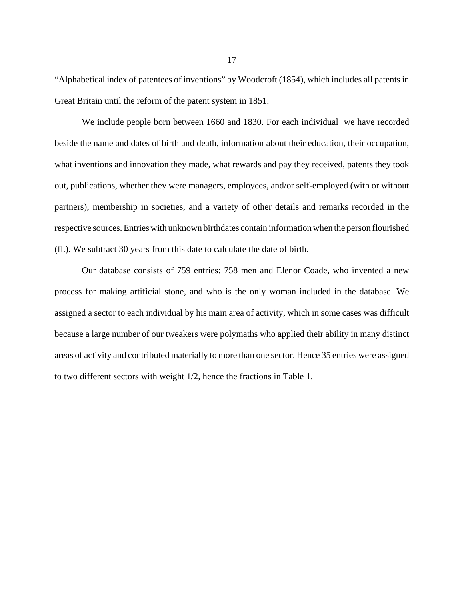"Alphabetical index of patentees of inventions" by Woodcroft (1854), which includes all patents in Great Britain until the reform of the patent system in 1851.

We include people born between 1660 and 1830. For each individual we have recorded beside the name and dates of birth and death, information about their education, their occupation, what inventions and innovation they made, what rewards and pay they received, patents they took out, publications, whether they were managers, employees, and/or self-employed (with or without partners), membership in societies, and a variety of other details and remarks recorded in the respective sources. Entries with unknown birthdates contain information when the person flourished (fl.). We subtract 30 years from this date to calculate the date of birth.

Our database consists of 759 entries: 758 men and Elenor Coade, who invented a new process for making artificial stone, and who is the only woman included in the database. We assigned a sector to each individual by his main area of activity, which in some cases was difficult because a large number of our tweakers were polymaths who applied their ability in many distinct areas of activity and contributed materially to more than one sector. Hence 35 entries were assigned to two different sectors with weight 1/2, hence the fractions in Table 1.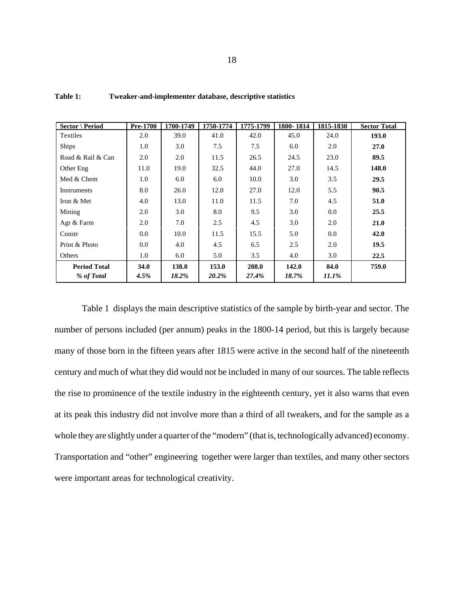| Sector \ Period     | <b>Pre-1700</b> | 1700-1749 | $1750 - 1774$ | 1775-1799 | 1800-1814 | 1815-1830 | <b>Sector Total</b> |
|---------------------|-----------------|-----------|---------------|-----------|-----------|-----------|---------------------|
| <b>Textiles</b>     | 2.0             | 39.0      | 41.0          | 42.0      | 45.0      | 24.0      | 193.0               |
| Ships               | 1.0             | 3.0       | 7.5           | 7.5       | 6.0       | 2.0       | 27.0                |
| Road & Rail & Can   | 2.0             | 2.0       | 11.5          | 26.5      | 24.5      | 23.0      | 89.5                |
| Other Eng           | 11.0            | 19.0      | 32.5          | 44.0      | 27.0      | 14.5      | 148.0               |
| Med & Chem          | 1.0             | 6.0       | 6.0           | 10.0      | 3.0       | 3.5       | 29.5                |
| Instruments         | 8.0             | 26.0      | 12.0          | 27.0      | 12.0      | 5.5       | 90.5                |
| Iron & Met          | 4.0             | 13.0      | 11.0          | 11.5      | 7.0       | 4.5       | 51.0                |
| Mining              | 2.0             | 3.0       | 8.0           | 9.5       | 3.0       | 0.0       | 25.5                |
| Agr & Farm          | 2.0             | 7.0       | 2.5           | 4.5       | 3.0       | 2.0       | 21.0                |
| Constr              | 0.0             | 10.0      | 11.5          | 15.5      | 5.0       | 0.0       | 42.0                |
| Print & Photo       | 0.0             | 4.0       | 4.5           | 6.5       | 2.5       | 2.0       | 19.5                |
| Others              | 1.0             | 6.0       | 5.0           | 3.5       | 4.0       | 3.0       | 22.5                |
| <b>Period Total</b> | 34.0            | 138.0     | 153.0         | 208.0     | 142.0     | 84.0      | 759.0               |
| % of Total          | 4.5%            | 18.2%     | <b>20.2%</b>  | 27.4%     | 18.7%     | 11.1%     |                     |

**Table 1: Tweaker-and-implementer database, descriptive statistics**

Table 1 displays the main descriptive statistics of the sample by birth-year and sector. The number of persons included (per annum) peaks in the 1800-14 period, but this is largely because many of those born in the fifteen years after 1815 were active in the second half of the nineteenth century and much of what they did would not be included in many of our sources. The table reflects the rise to prominence of the textile industry in the eighteenth century, yet it also warns that even at its peak this industry did not involve more than a third of all tweakers, and for the sample as a whole they are slightly under a quarter of the "modern" (that is, technologically advanced) economy. Transportation and "other" engineering together were larger than textiles, and many other sectors were important areas for technological creativity.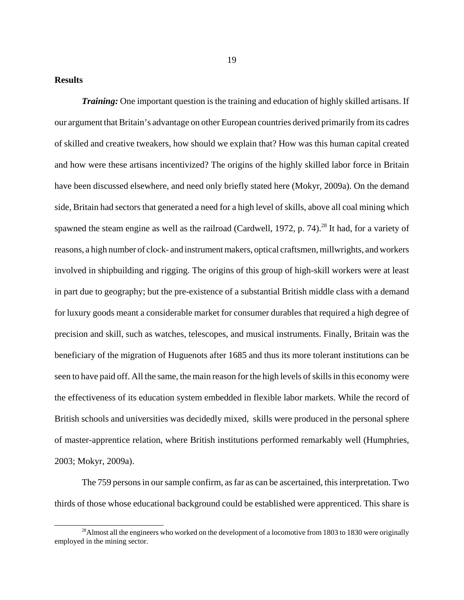## **Results**

*Training:* One important question is the training and education of highly skilled artisans. If our argument that Britain's advantage on other European countries derived primarily from its cadres of skilled and creative tweakers, how should we explain that? How was this human capital created and how were these artisans incentivized? The origins of the highly skilled labor force in Britain have been discussed elsewhere, and need only briefly stated here (Mokyr, 2009a). On the demand side, Britain had sectors that generated a need for a high level of skills, above all coal mining which spawned the steam engine as well as the railroad (Cardwell, 1972, p. 74).<sup>28</sup> It had, for a variety of reasons, a high number of clock- and instrument makers, optical craftsmen, millwrights, and workers involved in shipbuilding and rigging. The origins of this group of high-skill workers were at least in part due to geography; but the pre-existence of a substantial British middle class with a demand for luxury goods meant a considerable market for consumer durables that required a high degree of precision and skill, such as watches, telescopes, and musical instruments. Finally, Britain was the beneficiary of the migration of Huguenots after 1685 and thus its more tolerant institutions can be seen to have paid off. All the same, the main reason for the high levels of skills in this economy were the effectiveness of its education system embedded in flexible labor markets. While the record of British schools and universities was decidedly mixed, skills were produced in the personal sphere of master-apprentice relation, where British institutions performed remarkably well (Humphries, 2003; Mokyr, 2009a).

The 759 persons in our sample confirm, as far as can be ascertained, this interpretation. Two thirds of those whose educational background could be established were apprenticed. This share is

<sup>&</sup>lt;sup>28</sup>Almost all the engineers who worked on the development of a locomotive from 1803 to 1830 were originally employed in the mining sector.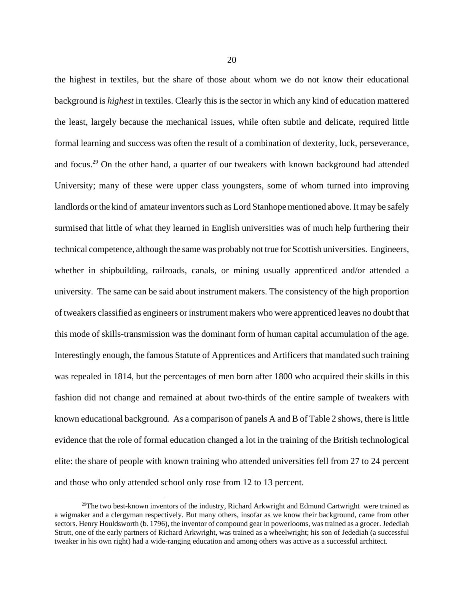the highest in textiles, but the share of those about whom we do not know their educational background is *highest* in textiles. Clearly this is the sector in which any kind of education mattered the least, largely because the mechanical issues, while often subtle and delicate, required little formal learning and success was often the result of a combination of dexterity, luck, perseverance, and focus.<sup>29</sup> On the other hand, a quarter of our tweakers with known background had attended University; many of these were upper class youngsters, some of whom turned into improving landlords or the kind of amateur inventors such as Lord Stanhope mentioned above. It may be safely surmised that little of what they learned in English universities was of much help furthering their technical competence, although the same was probably not true for Scottish universities. Engineers, whether in shipbuilding, railroads, canals, or mining usually apprenticed and/or attended a university. The same can be said about instrument makers. The consistency of the high proportion of tweakers classified as engineers or instrument makers who were apprenticed leaves no doubt that this mode of skills-transmission was the dominant form of human capital accumulation of the age. Interestingly enough, the famous Statute of Apprentices and Artificers that mandated such training was repealed in 1814, but the percentages of men born after 1800 who acquired their skills in this fashion did not change and remained at about two-thirds of the entire sample of tweakers with known educational background. As a comparison of panels A and B of Table 2 shows, there is little evidence that the role of formal education changed a lot in the training of the British technological elite: the share of people with known training who attended universities fell from 27 to 24 percent and those who only attended school only rose from 12 to 13 percent.

<sup>&</sup>lt;sup>29</sup>The two best-known inventors of the industry, Richard Arkwright and Edmund Cartwright were trained as a wigmaker and a clergyman respectively. But many others, insofar as we know their background, came from other sectors. Henry Houldsworth (b. 1796), the inventor of compound gear in powerlooms, was trained as a grocer. Jedediah Strutt, one of the early partners of Richard Arkwright, was trained as a wheelwright; his son of Jedediah (a successful tweaker in his own right) had a wide-ranging education and among others was active as a successful architect.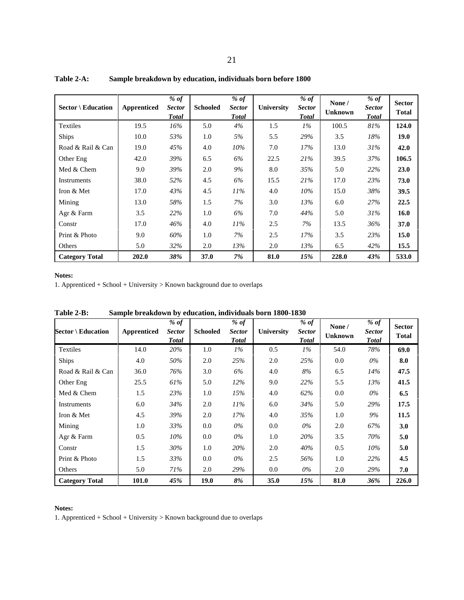| Sector \ Education    | <b>Apprenticed</b> | $%$ of<br><b>Sector</b><br><b>Total</b> | <b>Schooled</b> | $%$ of<br><b>Sector</b><br><b>Total</b> | University | % of<br><b>Sector</b><br><b>Total</b> | None /<br><b>Unknown</b> | $%$ of<br><b>Sector</b><br><b>Total</b> | <b>Sector</b><br><b>Total</b> |
|-----------------------|--------------------|-----------------------------------------|-----------------|-----------------------------------------|------------|---------------------------------------|--------------------------|-----------------------------------------|-------------------------------|
| <b>Textiles</b>       | 19.5               | 16%                                     | 5.0             | 4%                                      | 1.5        | $1\%$                                 | 100.5                    | 81%                                     | 124.0                         |
| Ships                 | 10.0               | 53%                                     | 1.0             | 5%                                      | 5.5        | 29%                                   | 3.5                      | 18%                                     | 19.0                          |
| Road & Rail & Can     | 19.0               | 45%                                     | 4.0             | $10\%$                                  | 7.0        | $17\%$                                | 13.0                     | 31%                                     | 42.0                          |
| Other Eng             | 42.0               | 39%                                     | 6.5             | 6%                                      | 22.5       | 21%                                   | 39.5                     | 37%                                     | 106.5                         |
| Med & Chem            | 9.0                | 39%                                     | 2.0             | 9%                                      | 8.0        | 35%                                   | 5.0                      | 22%                                     | <b>23.0</b>                   |
| Instruments           | 38.0               | 52%                                     | 4.5             | 6%                                      | 15.5       | 21%                                   | 17.0                     | 23%                                     | 73.0                          |
| Iron & Met            | 17.0               | 43%                                     | 4.5             | $11\%$                                  | 4.0        | 10%                                   | 15.0                     | 38%                                     | 39.5                          |
| Mining                | 13.0               | 58%                                     | 1.5             | 7%                                      | 3.0        | 13%                                   | 6.0                      | 27%                                     | 22.5                          |
| Agr & Farm            | 3.5                | 22%                                     | 1.0             | 6%                                      | 7.0        | 44%                                   | 5.0                      | 31%                                     | 16.0                          |
| Constr                | 17.0               | 46%                                     | 4.0             | $11\%$                                  | 2.5        | 7%                                    | 13.5                     | 36%                                     | 37.0                          |
| Print & Photo         | 9.0                | 60%                                     | 1.0             | 7%                                      | 2.5        | 17%                                   | 3.5                      | 23%                                     | 15.0                          |
| Others                | 5.0                | 32%                                     | 2.0             | 13%                                     | 2.0        | 13%                                   | 6.5                      | 42%                                     | 15.5                          |
| <b>Category Total</b> | 202.0              | 38%                                     | 37.0            | 7%                                      | 81.0       | 15%                                   | 228.0                    | 43%                                     | 533.0                         |

**Table 2-A: Sample breakdown by education, individuals born before 1800**

#### **Notes:**

1. Apprenticed + School + University > Known background due to overlaps

| Sector \ Education    | Apprenticed | % $of$<br><b>Sector</b><br><b>Total</b> | <b>Schooled</b> | $%$ of<br><b>Sector</b><br><b>Total</b> | University | $%$ of<br><b>Sector</b><br><b>Total</b> | None /<br><b>Unknown</b> | % of<br><b>Sector</b><br><b>Total</b> | <b>Sector</b><br><b>Total</b> |
|-----------------------|-------------|-----------------------------------------|-----------------|-----------------------------------------|------------|-----------------------------------------|--------------------------|---------------------------------------|-------------------------------|
| Textiles              | 14.0        | 20%                                     | 1.0             | $1\%$                                   | 0.5        | $1\%$                                   | 54.0                     | 78%                                   | 69.0                          |
| Ships                 | 4.0         | 50%                                     | 2.0             | 25%                                     | 2.0        | 25%                                     | 0.0                      | 0%                                    | 8.0                           |
| Road & Rail & Can     | 36.0        | 76%                                     | 3.0             | 6%                                      | 4.0        | 8%                                      | 6.5                      | 14%                                   | 47.5                          |
| Other Eng             | 25.5        | 61%                                     | 5.0             | $12\%$                                  | 9.0        | 22%                                     | 5.5                      | 13%                                   | 41.5                          |
| Med & Chem            | 1.5         | 23%                                     | 1.0             | 15%                                     | 4.0        | 62%                                     | 0.0                      | $0\%$                                 | 6.5                           |
| Instruments           | 6.0         | 34%                                     | 2.0             | 11%                                     | 6.0        | 34%                                     | 5.0                      | 29%                                   | 17.5                          |
| Iron & Met            | 4.5         | 39%                                     | 2.0             | $17\%$                                  | 4.0        | 35%                                     | 1.0                      | 9%                                    | 11.5                          |
| Mining                | 1.0         | 33%                                     | 0.0             | $0\%$                                   | 0.0        | $0\%$                                   | 2.0                      | 67%                                   | 3.0                           |
| Agr & Farm            | 0.5         | 10%                                     | 0.0             | $0\%$                                   | 1.0        | 20%                                     | 3.5                      | 70%                                   | 5.0                           |
| Constr                | 1.5         | 30%                                     | 1.0             | 20%                                     | 2.0        | 40%                                     | 0.5                      | $10\%$                                | 5.0                           |
| Print & Photo         | 1.5         | 33%                                     | 0.0             | 0%                                      | 2.5        | 56%                                     | 1.0                      | 22%                                   | 4.5                           |
| Others                | 5.0         | 71%                                     | 2.0             | 29%                                     | 0.0        | $0\%$                                   | 2.0                      | 29%                                   | 7.0                           |
| <b>Category Total</b> | 101.0       | 45%                                     | 19.0            | 8%                                      | 35.0       | 15%                                     | 81.0                     | 36%                                   | 226.0                         |

**Table 2-B: Sample breakdown by education, individuals born 1800-1830**

#### **Notes:**

1. Apprenticed + School + University > Known background due to overlaps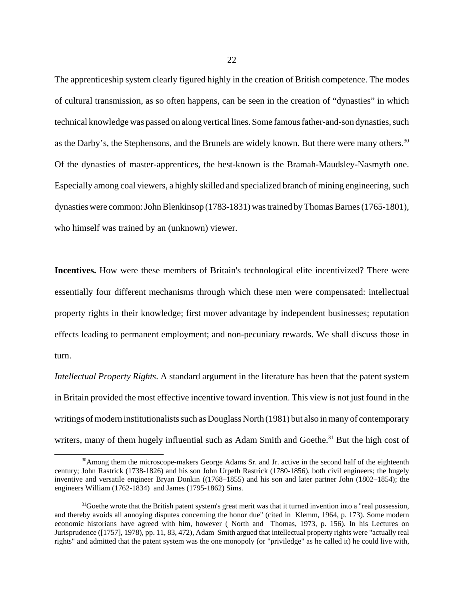The apprenticeship system clearly figured highly in the creation of British competence. The modes of cultural transmission, as so often happens, can be seen in the creation of "dynasties" in which technical knowledge was passed on along vertical lines. Some famous father-and-son dynasties, such as the Darby's, the Stephensons, and the Brunels are widely known. But there were many others.<sup>30</sup> Of the dynasties of master-apprentices, the best-known is the Bramah-Maudsley-Nasmyth one. Especially among coal viewers, a highly skilled and specialized branch of mining engineering, such dynasties were common: John Blenkinsop (1783-1831) was trained by Thomas Barnes (1765-1801), who himself was trained by an (unknown) viewer.

**Incentives.** How were these members of Britain's technological elite incentivized? There were essentially four different mechanisms through which these men were compensated: intellectual property rights in their knowledge; first mover advantage by independent businesses; reputation effects leading to permanent employment; and non-pecuniary rewards. We shall discuss those in turn.

*Intellectual Property Rights*. A standard argument in the literature has been that the patent system in Britain provided the most effective incentive toward invention. This view is not just found in the writings of modern institutionalists such as Douglass North (1981) but also in many of contemporary writers, many of them hugely influential such as Adam Smith and Goethe.<sup>31</sup> But the high cost of

 $30$ Among them the microscope-makers George Adams Sr. and Jr. active in the second half of the eighteenth century; John Rastrick (1738-1826) and his son John Urpeth Rastrick (1780-1856), both civil engineers; the hugely inventive and versatile engineer Bryan Donkin ((1768–1855) and his son and later partner John (1802–1854); the engineers William (1762-1834) and James (1795-1862) Sims.

 $31$ Goethe wrote that the British patent system's great merit was that it turned invention into a "real possession, and thereby avoids all annoying disputes concerning the honor due" (cited in Klemm, 1964, p. 173). Some modern economic historians have agreed with him, however ( North and Thomas, 1973, p. 156). In his Lectures on Jurisprudence ([1757], 1978), pp. 11, 83, 472), Adam Smith argued that intellectual property rights were "actually real rights" and admitted that the patent system was the one monopoly (or "priviledge" as he called it) he could live with,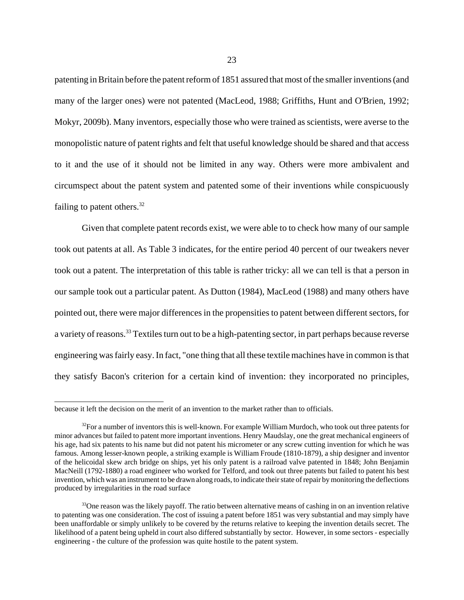patenting in Britain before the patent reform of 1851 assured that most of the smaller inventions (and many of the larger ones) were not patented (MacLeod, 1988; Griffiths, Hunt and O'Brien, 1992; Mokyr, 2009b). Many inventors, especially those who were trained as scientists, were averse to the monopolistic nature of patent rights and felt that useful knowledge should be shared and that access to it and the use of it should not be limited in any way. Others were more ambivalent and circumspect about the patent system and patented some of their inventions while conspicuously failing to patent others. $32$ 

Given that complete patent records exist, we were able to to check how many of our sample took out patents at all. As Table 3 indicates, for the entire period 40 percent of our tweakers never took out a patent. The interpretation of this table is rather tricky: all we can tell is that a person in our sample took out a particular patent. As Dutton (1984), MacLeod (1988) and many others have pointed out, there were major differences in the propensities to patent between different sectors, for a variety of reasons.<sup>33</sup> Textiles turn out to be a high-patenting sector, in part perhaps because reverse engineering was fairly easy. In fact, "one thing that all these textile machines have in common is that they satisfy Bacon's criterion for a certain kind of invention: they incorporated no principles,

because it left the decision on the merit of an invention to the market rather than to officials.

 $32$ For a number of inventors this is well-known. For example William Murdoch, who took out three patents for minor advances but failed to patent more important inventions. Henry Maudslay, one the great mechanical engineers of his age, had six patents to his name but did not patent his micrometer or any screw cutting invention for which he was famous. Among lesser-known people, a striking example is William Froude (1810-1879), a ship designer and inventor of the helicoidal skew arch bridge on ships, yet his only patent is a railroad valve patented in 1848; John Benjamin MacNeill (1792-1880) a road engineer who worked for Telford, and took out three patents but failed to patent his best invention, which was an instrument to be drawn along roads, to indicate their state of repair by monitoring the deflections produced by irregularities in the road surface

<sup>&</sup>lt;sup>33</sup>One reason was the likely payoff. The ratio between alternative means of cashing in on an invention relative to patenting was one consideration. The cost of issuing a patent before 1851 was very substantial and may simply have been unaffordable or simply unlikely to be covered by the returns relative to keeping the invention details secret. The likelihood of a patent being upheld in court also differed substantially by sector. However, in some sectors - especially engineering - the culture of the profession was quite hostile to the patent system.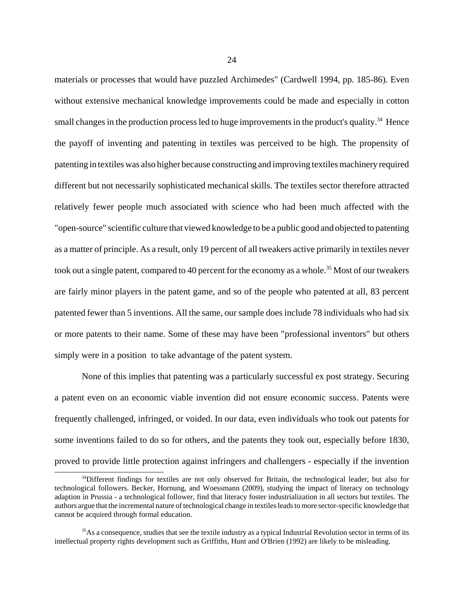materials or processes that would have puzzled Archimedes" (Cardwell 1994, pp. 185-86). Even without extensive mechanical knowledge improvements could be made and especially in cotton small changes in the production process led to huge improvements in the product's quality.<sup>34</sup> Hence the payoff of inventing and patenting in textiles was perceived to be high. The propensity of patenting in textiles was also higher because constructing and improving textiles machinery required different but not necessarily sophisticated mechanical skills. The textiles sector therefore attracted relatively fewer people much associated with science who had been much affected with the "open-source" scientific culture that viewed knowledge to be a public good and objected to patenting as a matter of principle. As a result, only 19 percent of all tweakers active primarily in textiles never took out a single patent, compared to 40 percent for the economy as a whole.<sup>35</sup> Most of our tweakers are fairly minor players in the patent game, and so of the people who patented at all, 83 percent patented fewer than 5 inventions. All the same, our sample does include 78 individuals who had six or more patents to their name. Some of these may have been "professional inventors" but others simply were in a position to take advantage of the patent system.

None of this implies that patenting was a particularly successful ex post strategy. Securing a patent even on an economic viable invention did not ensure economic success. Patents were frequently challenged, infringed, or voided. In our data, even individuals who took out patents for some inventions failed to do so for others, and the patents they took out, especially before 1830, proved to provide little protection against infringers and challengers - especially if the invention

<sup>&</sup>lt;sup>34</sup>Different findings for textiles are not only observed for Britain, the technological leader, but also for technological followers. Becker, Hornung, and Woessmann (2009), studying the impact of literacy on technology adaption in Prussia - a technological follower, find that literacy foster industrialization in all sectors but textiles. The authors argue that the incremental nature of technological change in textiles leads to more sector-specific knowledge that cannot be acquired through formal education.

<sup>&</sup>lt;sup>35</sup>As a consequence, studies that see the textile industry as a typical Industrial Revolution sector in terms of its intellectual property rights development such as Griffiths, Hunt and O'Brien (1992) are likely to be misleading.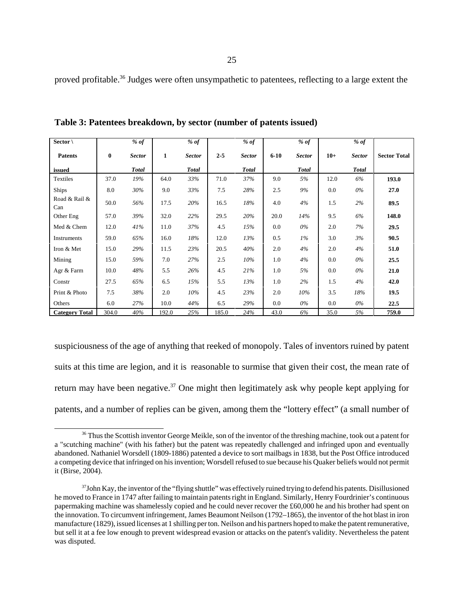25

proved profitable.<sup>36</sup> Judges were often unsympathetic to patentees, reflecting to a large extent the

| Sector $\setminus$    |          | $%$ of        |       | $%$ of        |         | $%$ of        |        | $%$ of        |       | $%$ of        |                     |
|-----------------------|----------|---------------|-------|---------------|---------|---------------|--------|---------------|-------|---------------|---------------------|
| <b>Patents</b>        | $\bf{0}$ | <b>Sector</b> | 1     | <b>Sector</b> | $2 - 5$ | <b>Sector</b> | $6-10$ | <b>Sector</b> | $10+$ | <b>Sector</b> | <b>Sector Total</b> |
| issued                |          | <b>Total</b>  |       | <b>Total</b>  |         | <b>Total</b>  |        | <b>Total</b>  |       | <b>Total</b>  |                     |
| Textiles              | 37.0     | 19%           | 64.0  | 33%           | 71.0    | 37%           | 9.0    | 5%            | 12.0  | 6%            | 193.0               |
| <b>Ships</b>          | 8.0      | 30%           | 9.0   | 33%           | 7.5     | 28%           | 2.5    | 9%            | 0.0   | $0\%$         | 27.0                |
| Road & Rail &<br>Can  | 50.0     | 56%           | 17.5  | 20%           | 16.5    | 18%           | 4.0    | 4%            | 1.5   | 2%            | 89.5                |
| Other Eng             | 57.0     | 39%           | 32.0  | 22%           | 29.5    | 20%           | 20.0   | 14%           | 9.5   | 6%            | 148.0               |
| Med & Chem            | 12.0     | 41%           | 11.0  | 37%           | 4.5     | 15%           | 0.0    | $0\%$         | 2.0   | 7%            | 29.5                |
| Instruments           | 59.0     | 65%           | 16.0  | 18%           | 12.0    | 13%           | 0.5    | $1\%$         | 3.0   | 3%            | 90.5                |
| Iron & Met            | 15.0     | 29%           | 11.5  | 23%           | 20.5    | 40%           | 2.0    | 4%            | 2.0   | 4%            | 51.0                |
| Mining                | 15.0     | 59%           | 7.0   | 27%           | 2.5     | 10%           | 1.0    | 4%            | 0.0   | $0\%$         | 25.5                |
| Agr & Farm            | 10.0     | 48%           | 5.5   | 26%           | 4.5     | 21%           | 1.0    | 5%            | 0.0   | $0\%$         | 21.0                |
| Constr                | 27.5     | 65%           | 6.5   | 15%           | 5.5     | 13%           | 1.0    | 2%            | 1.5   | 4%            | 42.0                |
| Print & Photo         | 7.5      | 38%           | 2.0   | 10%           | 4.5     | 23%           | 2.0    | 10%           | 3.5   | 18%           | 19.5                |
| Others                | 6.0      | 27%           | 10.0  | 44%           | 6.5     | 29%           | 0.0    | $0\%$         | 0.0   | $0\%$         | 22.5                |
| <b>Category Total</b> | 304.0    | 40%           | 192.0 | 25%           | 185.0   | 24%           | 43.0   | 6%            | 35.0  | 5%            | 759.0               |

**Table 3: Patentees breakdown, by sector (number of patents issued)**

suspiciousness of the age of anything that reeked of monopoly. Tales of inventors ruined by patent suits at this time are legion, and it is reasonable to surmise that given their cost, the mean rate of return may have been negative.<sup>37</sup> One might then legitimately ask why people kept applying for patents, and a number of replies can be given, among them the "lottery effect" (a small number of

<sup>&</sup>lt;sup>36</sup> Thus the Scottish inventor George Meikle, son of the inventor of the threshing machine, took out a patent for a "scutching machine" (with his father) but the patent was repeatedly challenged and infringed upon and eventually abandoned. Nathaniel Worsdell (1809-1886) patented a device to sort mailbags in 1838, but the Post Office introduced a competing device that infringed on his invention; Worsdell refused to sue because his Quaker beliefs would not permit it (Birse, 2004).

 $37$ John Kay, the inventor of the "flying shuttle" was effectively ruined trying to defend his patents. Disillusioned he moved to France in 1747 after failing to maintain patents right in England. Similarly, Henry Fourdrinier's continuous papermaking machine was shamelessly copied and he could never recover the £60,000 he and his brother had spent on the innovation. To circumvent infringement, James Beaumont Neilson (1792–1865), the inventor of the hot blast in iron manufacture (1829), issued licenses at 1 shilling per ton. Neilson and his partners hoped to make the patent remunerative, but sell it at a fee low enough to prevent widespread evasion or attacks on the patent's validity. Nevertheless the patent was disputed.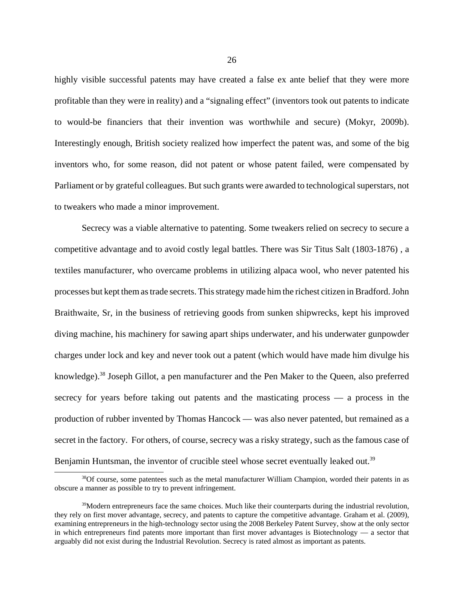highly visible successful patents may have created a false ex ante belief that they were more profitable than they were in reality) and a "signaling effect" (inventors took out patents to indicate to would-be financiers that their invention was worthwhile and secure) (Mokyr, 2009b). Interestingly enough, British society realized how imperfect the patent was, and some of the big inventors who, for some reason, did not patent or whose patent failed, were compensated by Parliament or by grateful colleagues. But such grants were awarded to technological superstars, not to tweakers who made a minor improvement.

Secrecy was a viable alternative to patenting. Some tweakers relied on secrecy to secure a competitive advantage and to avoid costly legal battles. There was Sir Titus Salt (1803-1876) , a textiles manufacturer, who overcame problems in utilizing alpaca wool, who never patented his processes but kept them as trade secrets. This strategy made him the richest citizen in Bradford. John Braithwaite, Sr, in the business of retrieving goods from sunken shipwrecks, kept his improved diving machine, his machinery for sawing apart ships underwater, and his underwater gunpowder charges under lock and key and never took out a patent (which would have made him divulge his knowledge).<sup>38</sup> Joseph Gillot, a pen manufacturer and the Pen Maker to the Queen, also preferred secrecy for years before taking out patents and the masticating process — a process in the production of rubber invented by Thomas Hancock — was also never patented, but remained as a secret in the factory. For others, of course, secrecy was a risky strategy, such as the famous case of Benjamin Huntsman, the inventor of crucible steel whose secret eventually leaked out.<sup>39</sup>

<sup>&</sup>lt;sup>38</sup>Of course, some patentees such as the metal manufacturer William Champion, worded their patents in as obscure a manner as possible to try to prevent infringement.

 $39$ Modern entrepreneurs face the same choices. Much like their counterparts during the industrial revolution, they rely on first mover advantage, secrecy, and patents to capture the competitive advantage. Graham et al. (2009), examining entrepreneurs in the high-technology sector using the 2008 Berkeley Patent Survey, show at the only sector in which entrepreneurs find patents more important than first mover advantages is Biotechnology — a sector that arguably did not exist during the Industrial Revolution. Secrecy is rated almost as important as patents.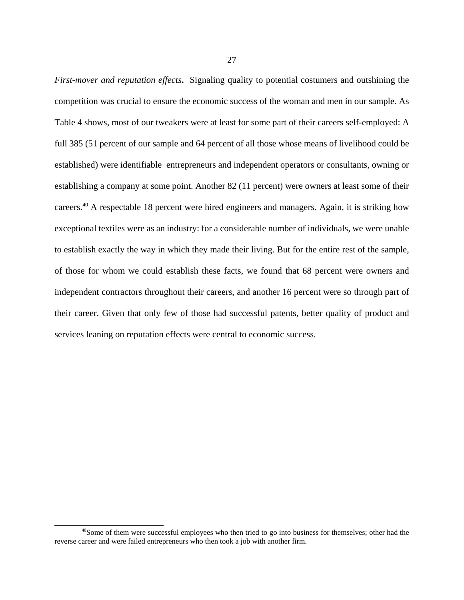*First-mover and reputation effects***.** Signaling quality to potential costumers and outshining the competition was crucial to ensure the economic success of the woman and men in our sample. As Table 4 shows, most of our tweakers were at least for some part of their careers self-employed: A full 385 (51 percent of our sample and 64 percent of all those whose means of livelihood could be established) were identifiable entrepreneurs and independent operators or consultants, owning or establishing a company at some point. Another 82 (11 percent) were owners at least some of their careers.40 A respectable 18 percent were hired engineers and managers. Again, it is striking how exceptional textiles were as an industry: for a considerable number of individuals, we were unable to establish exactly the way in which they made their living. But for the entire rest of the sample, of those for whom we could establish these facts, we found that 68 percent were owners and independent contractors throughout their careers, and another 16 percent were so through part of their career. Given that only few of those had successful patents, better quality of product and services leaning on reputation effects were central to economic success.

<sup>&</sup>lt;sup>40</sup>Some of them were successful employees who then tried to go into business for themselves; other had the reverse career and were failed entrepreneurs who then took a job with another firm.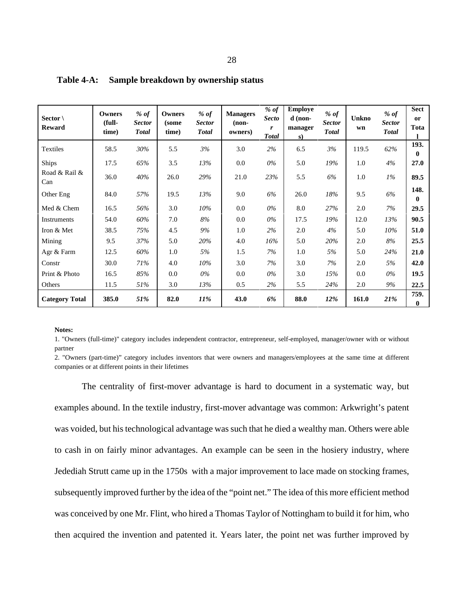| Sector \<br><b>Reward</b> | Owners<br>(full-<br>time) | % of<br><b>Sector</b><br><b>Total</b> | Owners<br>(some)<br>time) | $%$ of<br><b>Sector</b><br><b>Total</b> | <b>Managers</b><br>$non-$<br>owners) | $%$ of<br><b>Secto</b><br>r<br><b>T</b> otal | <b>Employe</b><br>d (non-<br>manager<br>s) | $%$ of<br><b>Sector</b><br><b>Total</b> | <b>Unkno</b><br>wn | $%$ of<br><b>Sector</b><br><b>Total</b> | Sect<br>or<br>Tota |
|---------------------------|---------------------------|---------------------------------------|---------------------------|-----------------------------------------|--------------------------------------|----------------------------------------------|--------------------------------------------|-----------------------------------------|--------------------|-----------------------------------------|--------------------|
| Textiles                  | 58.5                      | 30%                                   | 5.5                       | 3%                                      | 3.0                                  | 2%                                           | 6.5                                        | 3%                                      | 119.5              | 62%                                     | 193.<br>0          |
| Ships                     | 17.5                      | 65%                                   | 3.5                       | 13%                                     | 0.0                                  | $0\%$                                        | 5.0                                        | 19%                                     | 1.0                | 4%                                      | 27.0               |
| Road & Rail &<br>Can      | 36.0                      | 40%                                   | 26.0                      | 29%                                     | 21.0                                 | 23%                                          | 5.5                                        | 6%                                      | 1.0                | $1\%$                                   | 89.5               |
| Other Eng                 | 84.0                      | 57%                                   | 19.5                      | 13%                                     | 9.0                                  | 6%                                           | 26.0                                       | 18%                                     | 9.5                | 6%                                      | 148.<br>0          |
| Med & Chem                | 16.5                      | 56%                                   | 3.0                       | $10\%$                                  | 0.0                                  | $0\%$                                        | 8.0                                        | 27%                                     | 2.0                | 7%                                      | 29.5               |
| Instruments               | 54.0                      | 60%                                   | 7.0                       | 8%                                      | 0.0                                  | $0\%$                                        | 17.5                                       | 19%                                     | 12.0               | 13%                                     | 90.5               |
| Iron & Met                | 38.5                      | 75%                                   | 4.5                       | 9%                                      | 1.0                                  | 2%                                           | 2.0                                        | 4%                                      | 5.0                | 10%                                     | 51.0               |
| Mining                    | 9.5                       | 37%                                   | 5.0                       | 20%                                     | 4.0                                  | 16%                                          | 5.0                                        | 20%                                     | 2.0                | 8%                                      | 25.5               |
| Agr & Farm                | 12.5                      | 60%                                   | 1.0                       | 5%                                      | 1.5                                  | 7%                                           | 1.0                                        | 5%                                      | 5.0                | 24%                                     | 21.0               |
| Constr                    | 30.0                      | 71%                                   | 4.0                       | 10%                                     | 3.0                                  | 7%                                           | 3.0                                        | $7\%$                                   | 2.0                | 5%                                      | 42.0               |
| Print & Photo             | 16.5                      | 85%                                   | 0.0                       | $0\%$                                   | 0.0                                  | $0\%$                                        | 3.0                                        | 15%                                     | 0.0                | $0\%$                                   | 19.5               |
| Others                    | 11.5                      | 51%                                   | 3.0                       | 13%                                     | 0.5                                  | $2\%$                                        | 5.5                                        | 24%                                     | 2.0                | 9%                                      | 22.5               |
| <b>Category Total</b>     | 385.0                     | 51%                                   | 82.0                      | 11%                                     | 43.0                                 | 6%                                           | 88.0                                       | 12%                                     | 161.0              | 21%                                     | 759.<br>$\bf{0}$   |

**Table 4-A: Sample breakdown by ownership status**

#### **Notes:**

1. "Owners (full-time)" category includes independent contractor, entrepreneur, self-employed, manager/owner with or without partner

2. "Owners (part-time)" category includes inventors that were owners and managers/employees at the same time at different companies or at different points in their lifetimes

The centrality of first-mover advantage is hard to document in a systematic way, but examples abound. In the textile industry, first-mover advantage was common: Arkwright's patent was voided, but his technological advantage was such that he died a wealthy man. Others were able to cash in on fairly minor advantages. An example can be seen in the hosiery industry, where Jedediah Strutt came up in the 1750s with a major improvement to lace made on stocking frames, subsequently improved further by the idea of the "point net." The idea of this more efficient method was conceived by one Mr. Flint, who hired a Thomas Taylor of Nottingham to build it for him, who then acquired the invention and patented it. Years later, the point net was further improved by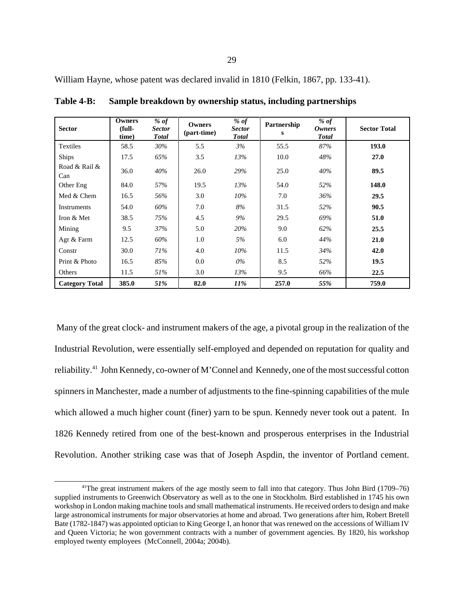William Hayne, whose patent was declared invalid in 1810 (Felkin, 1867, pp. 133-41).

| <b>Sector</b>         | Owners<br>(full-<br>time) | $%$ of<br><b>Sector</b><br><b>Total</b> | Owners<br>(part-time) | $%$ of<br><b>Sector</b><br><b>Total</b> | Partnership<br>s | $%$ of<br><b>Owners</b><br><b>Total</b> | <b>Sector Total</b> |
|-----------------------|---------------------------|-----------------------------------------|-----------------------|-----------------------------------------|------------------|-----------------------------------------|---------------------|
| Textiles              | 58.5                      | 30%                                     | 5.5                   | 3%                                      | 55.5             | 87%                                     | 193.0               |
| Ships                 | 17.5                      | 65%                                     | 3.5                   | 13%                                     | 10.0             | 48%                                     | 27.0                |
| Road & Rail &<br>Can  | 36.0                      | 40%                                     | 26.0                  | 29%                                     | 25.0             | 40%                                     | 89.5                |
| Other Eng             | 84.0                      | 57%                                     | 19.5                  | 13%                                     | 54.0             | 52%                                     | 148.0               |
| Med & Chem            | 16.5                      | 56%                                     | 3.0                   | $10\%$                                  | 7.0              | 36%                                     | 29.5                |
| <b>Instruments</b>    | 54.0                      | 60%                                     | 7.0                   | 8%                                      | 31.5             | 52%                                     | 90.5                |
| Iron & Met            | 38.5                      | 75%                                     | 4.5                   | 9%                                      | 29.5             | 69%                                     | 51.0                |
| Mining                | 9.5                       | 37%                                     | 5.0                   | 20%                                     | 9.0              | 62%                                     | 25.5                |
| Agr & Farm            | 12.5                      | 60%                                     | 1.0                   | 5%                                      | 6.0              | 44%                                     | 21.0                |
| Constr                | 30.0                      | 71%                                     | 4.0                   | $10\%$                                  | 11.5             | 34%                                     | 42.0                |
| Print & Photo         | 16.5                      | 85%                                     | 0.0                   | 0%                                      | 8.5              | 52%                                     | 19.5                |
| Others                | 11.5                      | 51%                                     | 3.0                   | 13%                                     | 9.5              | 66%                                     | 22.5                |
| <b>Category Total</b> | 385.0                     | 51%                                     | 82.0                  | 11%                                     | 257.0            | 55%                                     | 759.0               |

**Table 4-B: Sample breakdown by ownership status, including partnerships**

 Many of the great clock- and instrument makers of the age, a pivotal group in the realization of the Industrial Revolution, were essentially self-employed and depended on reputation for quality and reliability.<sup>41</sup> John Kennedy, co-owner of M'Connel and Kennedy, one of the most successful cotton spinners in Manchester, made a number of adjustments to the fine-spinning capabilities of the mule which allowed a much higher count (finer) yarn to be spun. Kennedy never took out a patent. In 1826 Kennedy retired from one of the best-known and prosperous enterprises in the Industrial Revolution. Another striking case was that of Joseph Aspdin, the inventor of Portland cement.

<sup>&</sup>lt;sup>41</sup>The great instrument makers of the age mostly seem to fall into that category. Thus John Bird (1709–76) supplied instruments to Greenwich Observatory as well as to the one in Stockholm. Bird established in 1745 his own workshop in London making machine tools and small mathematical instruments. He received orders to design and make large astronomical instruments for major observatories at home and abroad. Two generations after him, Robert Bretell Bate (1782-1847) was appointed optician to King George I, an honor that was renewed on the accessions of William IV and Queen Victoria; he won government contracts with a number of government agencies. By 1820, his workshop employed twenty employees (McConnell, 2004a; 2004b).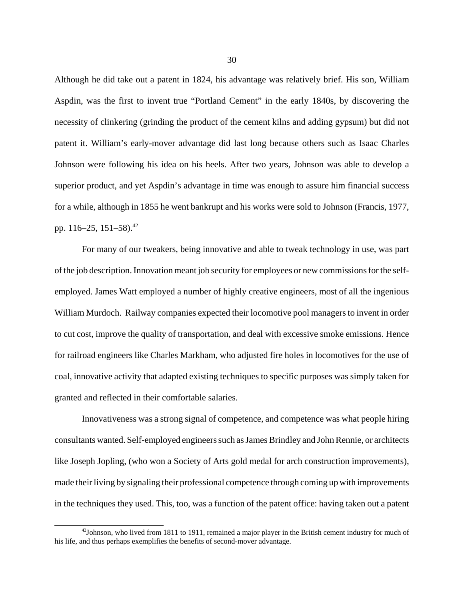Although he did take out a patent in 1824, his advantage was relatively brief. His son, William Aspdin, was the first to invent true "Portland Cement" in the early 1840s, by discovering the necessity of clinkering (grinding the product of the cement kilns and adding gypsum) but did not patent it. William's early-mover advantage did last long because others such as Isaac Charles Johnson were following his idea on his heels. After two years, Johnson was able to develop a superior product, and yet Aspdin's advantage in time was enough to assure him financial success for a while, although in 1855 he went bankrupt and his works were sold to Johnson (Francis, 1977, pp. 116–25, 151–58).<sup>42</sup>

For many of our tweakers, being innovative and able to tweak technology in use, was part of the job description. Innovation meant job security for employees or new commissions for the selfemployed. James Watt employed a number of highly creative engineers, most of all the ingenious William Murdoch. Railway companies expected their locomotive pool managers to invent in order to cut cost, improve the quality of transportation, and deal with excessive smoke emissions. Hence for railroad engineers like Charles Markham, who adjusted fire holes in locomotives for the use of coal, innovative activity that adapted existing techniques to specific purposes was simply taken for granted and reflected in their comfortable salaries.

Innovativeness was a strong signal of competence, and competence was what people hiring consultants wanted. Self-employed engineers such as James Brindley and John Rennie, or architects like Joseph Jopling, (who won a Society of Arts gold medal for arch construction improvements), made their living by signaling their professional competence through coming up with improvements in the techniques they used. This, too, was a function of the patent office: having taken out a patent

 $42$ Johnson, who lived from 1811 to 1911, remained a major player in the British cement industry for much of his life, and thus perhaps exemplifies the benefits of second-mover advantage.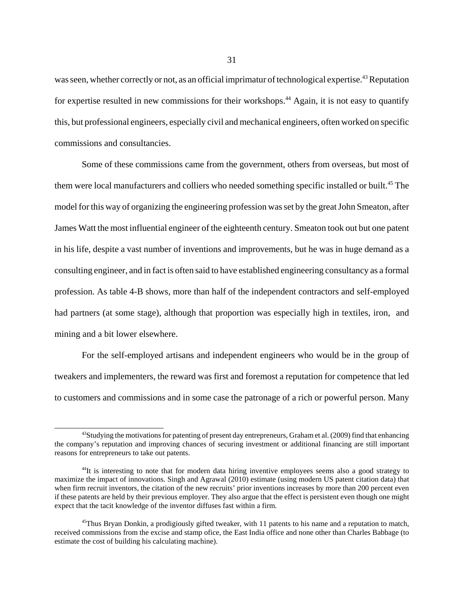was seen, whether correctly or not, as an official imprimatur of technological expertise.<sup>43</sup> Reputation for expertise resulted in new commissions for their workshops.<sup>44</sup> Again, it is not easy to quantify this, but professional engineers, especially civil and mechanical engineers, often worked on specific commissions and consultancies.

Some of these commissions came from the government, others from overseas, but most of them were local manufacturers and colliers who needed something specific installed or built.<sup>45</sup> The model for this way of organizing the engineering profession was set by the great John Smeaton, after James Watt the most influential engineer of the eighteenth century. Smeaton took out but one patent in his life, despite a vast number of inventions and improvements, but he was in huge demand as a consulting engineer, and in fact is often said to have established engineering consultancy as a formal profession. As table 4-B shows, more than half of the independent contractors and self-employed had partners (at some stage), although that proportion was especially high in textiles, iron, and mining and a bit lower elsewhere.

For the self-employed artisans and independent engineers who would be in the group of tweakers and implementers, the reward was first and foremost a reputation for competence that led to customers and commissions and in some case the patronage of a rich or powerful person. Many

 $43$ Studying the motivations for patenting of present day entrepreneurs, Graham et al. (2009) find that enhancing the company's reputation and improving chances of securing investment or additional financing are still important reasons for entrepreneurs to take out patents.

<sup>&</sup>lt;sup>44</sup>It is interesting to note that for modern data hiring inventive employees seems also a good strategy to maximize the impact of innovations. Singh and Agrawal (2010) estimate (using modern US patent citation data) that when firm recruit inventors, the citation of the new recruits' prior inventions increases by more than 200 percent even if these patents are held by their previous employer. They also argue that the effect is persistent even though one might expect that the tacit knowledge of the inventor diffuses fast within a firm.

<sup>&</sup>lt;sup>45</sup>Thus Bryan Donkin, a prodigiously gifted tweaker, with 11 patents to his name and a reputation to match, received commissions from the excise and stamp ofice, the East India office and none other than Charles Babbage (to estimate the cost of building his calculating machine).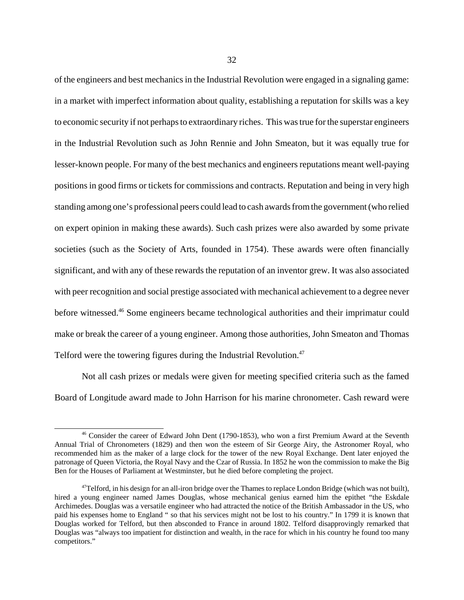of the engineers and best mechanics in the Industrial Revolution were engaged in a signaling game: in a market with imperfect information about quality, establishing a reputation for skills was a key to economic security if not perhaps to extraordinary riches. This was true for the superstar engineers in the Industrial Revolution such as John Rennie and John Smeaton, but it was equally true for lesser-known people. For many of the best mechanics and engineers reputations meant well-paying positions in good firms or tickets for commissions and contracts. Reputation and being in very high standing among one's professional peers could lead to cash awards from the government (who relied on expert opinion in making these awards). Such cash prizes were also awarded by some private societies (such as the Society of Arts, founded in 1754). These awards were often financially significant, and with any of these rewards the reputation of an inventor grew. It was also associated with peer recognition and social prestige associated with mechanical achievement to a degree never before witnessed.<sup>46</sup> Some engineers became technological authorities and their imprimatur could make or break the career of a young engineer. Among those authorities, John Smeaton and Thomas Telford were the towering figures during the Industrial Revolution.<sup>47</sup>

Not all cash prizes or medals were given for meeting specified criteria such as the famed Board of Longitude award made to John Harrison for his marine chronometer. Cash reward were

<sup>46</sup> Consider the career of Edward John Dent (1790-1853), who won a first Premium Award at the Seventh Annual Trial of Chronometers (1829) and then won the esteem of Sir George Airy, the Astronomer Royal, who recommended him as the maker of a large clock for the tower of the new Royal Exchange. Dent later enjoyed the patronage of Queen Victoria, the Royal Navy and the Czar of Russia. In 1852 he won the commission to make the Big Ben for the Houses of Parliament at Westminster, but he died before completing the project.

<sup>&</sup>lt;sup>47</sup>Telford, in his design for an all-iron bridge over the Thames to replace London Bridge (which was not built), hired a young engineer named James Douglas, whose mechanical genius earned him the epithet "the Eskdale Archimedes. Douglas was a versatile engineer who had attracted the notice of the British Ambassador in the US, who paid his expenses home to England " so that his services might not be lost to his country." In 1799 it is known that Douglas worked for Telford, but then absconded to France in around 1802. Telford disapprovingly remarked that Douglas was "always too impatient for distinction and wealth, in the race for which in his country he found too many competitors."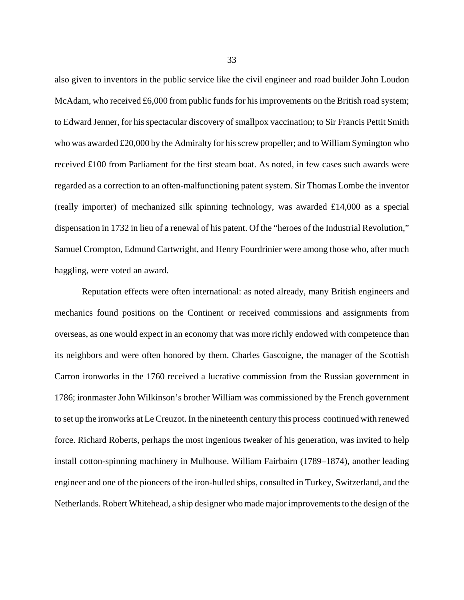also given to inventors in the public service like the civil engineer and road builder John Loudon McAdam, who received £6,000 from public funds for his improvements on the British road system; to Edward Jenner, for his spectacular discovery of smallpox vaccination; to Sir Francis Pettit Smith who was awarded £20,000 by the Admiralty for his screw propeller; and to William Symington who received £100 from Parliament for the first steam boat. As noted, in few cases such awards were regarded as a correction to an often-malfunctioning patent system. Sir Thomas Lombe the inventor (really importer) of mechanized silk spinning technology, was awarded £14,000 as a special dispensation in 1732 in lieu of a renewal of his patent. Of the "heroes of the Industrial Revolution," Samuel Crompton, Edmund Cartwright, and Henry Fourdrinier were among those who, after much haggling, were voted an award.

Reputation effects were often international: as noted already, many British engineers and mechanics found positions on the Continent or received commissions and assignments from overseas, as one would expect in an economy that was more richly endowed with competence than its neighbors and were often honored by them. Charles Gascoigne, the manager of the Scottish Carron ironworks in the 1760 received a lucrative commission from the Russian government in 1786; ironmaster John Wilkinson's brother William was commissioned by the French government to set up the ironworks at Le Creuzot. In the nineteenth century this process continued with renewed force. Richard Roberts, perhaps the most ingenious tweaker of his generation, was invited to help install cotton-spinning machinery in Mulhouse. William Fairbairn (1789–1874), another leading engineer and one of the pioneers of the iron-hulled ships, consulted in Turkey, Switzerland, and the Netherlands. Robert Whitehead, a ship designer who made major improvements to the design of the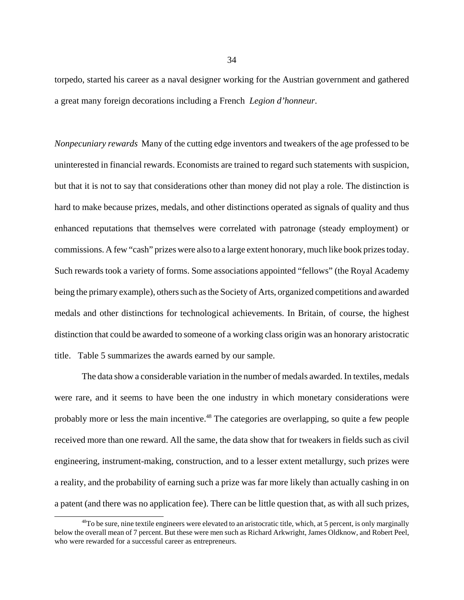torpedo, started his career as a naval designer working for the Austrian government and gathered a great many foreign decorations including a French *Legion d'honneur*.

*Nonpecuniary rewards* Many of the cutting edge inventors and tweakers of the age professed to be uninterested in financial rewards. Economists are trained to regard such statements with suspicion, but that it is not to say that considerations other than money did not play a role. The distinction is hard to make because prizes, medals, and other distinctions operated as signals of quality and thus enhanced reputations that themselves were correlated with patronage (steady employment) or commissions. A few "cash" prizes were also to a large extent honorary, much like book prizes today. Such rewards took a variety of forms. Some associations appointed "fellows" (the Royal Academy being the primary example), others such as the Society of Arts, organized competitions and awarded medals and other distinctions for technological achievements. In Britain, of course, the highest distinction that could be awarded to someone of a working class origin was an honorary aristocratic title. Table 5 summarizes the awards earned by our sample.

The data show a considerable variation in the number of medals awarded. In textiles, medals were rare, and it seems to have been the one industry in which monetary considerations were probably more or less the main incentive.<sup>48</sup> The categories are overlapping, so quite a few people received more than one reward. All the same, the data show that for tweakers in fields such as civil engineering, instrument-making, construction, and to a lesser extent metallurgy, such prizes were a reality, and the probability of earning such a prize was far more likely than actually cashing in on a patent (and there was no application fee). There can be little question that, as with all such prizes,

<sup>48</sup>To be sure, nine textile engineers were elevated to an aristocratic title, which, at 5 percent, is only marginally below the overall mean of 7 percent. But these were men such as Richard Arkwright, James Oldknow, and Robert Peel, who were rewarded for a successful career as entrepreneurs.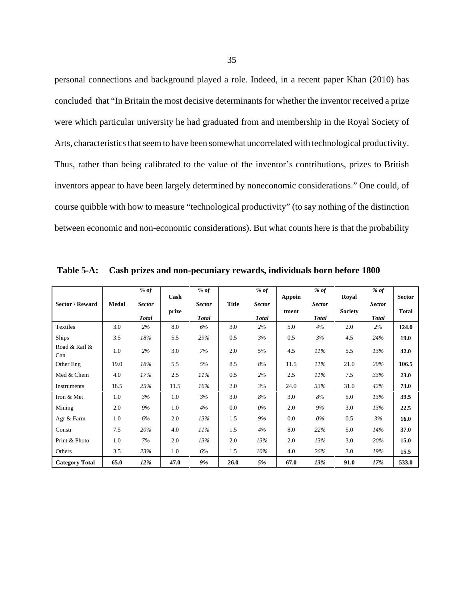personal connections and background played a role. Indeed, in a recent paper Khan (2010) has concluded that "In Britain the most decisive determinants for whether the inventor received a prize were which particular university he had graduated from and membership in the Royal Society of Arts, characteristics that seem to have been somewhat uncorrelated with technological productivity. Thus, rather than being calibrated to the value of the inventor's contributions, prizes to British inventors appear to have been largely determined by noneconomic considerations." One could, of course quibble with how to measure "technological productivity" (to say nothing of the distinction between economic and non-economic considerations). But what counts here is that the probability

|                       |              | % of          |       | % of          |              | % of          |               | % of          |                | $\overline{\mathscr{C}}$ of |               |
|-----------------------|--------------|---------------|-------|---------------|--------------|---------------|---------------|---------------|----------------|-----------------------------|---------------|
|                       |              |               | Cash  |               |              |               | <b>Appoin</b> |               | Royal          |                             | <b>Sector</b> |
| $Sector \ Reward$     | <b>Medal</b> | <b>Sector</b> | prize | <b>Sector</b> | <b>Title</b> | <b>Sector</b> | tment         | <b>Sector</b> | <b>Society</b> | <b>Sector</b>               | <b>Total</b>  |
|                       |              | <b>Total</b>  |       | <b>Total</b>  |              | <b>Total</b>  |               | <b>Total</b>  |                | <b>Total</b>                |               |
| Textiles              | 3.0          | 2%            | 8.0   | 6%            | 3.0          | 2%            | 5.0           | 4%            | 2.0            | 2%                          | 124.0         |
| Ships                 | 3.5          | 18%           | 5.5   | 29%           | 0.5          | 3%            | 0.5           | 3%            | 4.5            | 24%                         | 19.0          |
| Road & Rail &<br>Can  | 1.0          | 2%            | 3.0   | 7%            | 2.0          | 5%            | 4.5           | 11%           | 5.5            | 13%                         | 42.0          |
| Other Eng             | 19.0         | 18%           | 5.5   | 5%            | 8.5          | 8%            | 11.5          | 11%           | 21.0           | 20%                         | 106.5         |
| Med & Chem            | 4.0          | 17%           | 2.5   | 11%           | 0.5          | 2%            | 2.5           | 11%           | 7.5            | 33%                         | 23.0          |
| Instruments           | 18.5         | 25%           | 11.5  | 16%           | 2.0          | 3%            | 24.0          | 33%           | 31.0           | 42%                         | 73.0          |
| Iron & Met            | 1.0          | 3%            | 1.0   | 3%            | 3.0          | 8%            | 3.0           | 8%            | 5.0            | 13%                         | 39.5          |
| Mining                | 2.0          | 9%            | 1.0   | 4%            | 0.0          | $0\%$         | 2.0           | 9%            | 3.0            | 13%                         | 22.5          |
| Agr & Farm            | 1.0          | 6%            | 2.0   | 13%           | 1.5          | 9%            | 0.0           | $0\%$         | 0.5            | 3%                          | 16.0          |
| Constr                | 7.5          | 20%           | 4.0   | 11%           | 1.5          | 4%            | 8.0           | 22%           | 5.0            | 14%                         | 37.0          |
| Print & Photo         | 1.0          | 7%            | 2.0   | 13%           | 2.0          | 13%           | 2.0           | 13%           | 3.0            | 20%                         | 15.0          |
| Others                | 3.5          | 23%           | 1.0   | 6%            | 1.5          | 10%           | 4.0           | 26%           | 3.0            | 19%                         | 15.5          |
| <b>Category Total</b> | 65.0         | 12%           | 47.0  | 9%            | 26.0         | 5%            | 67.0          | 13%           | 91.0           | 17%                         | 533.0         |

**Table 5-A: Cash prizes and non-pecuniary rewards, individuals born before 1800**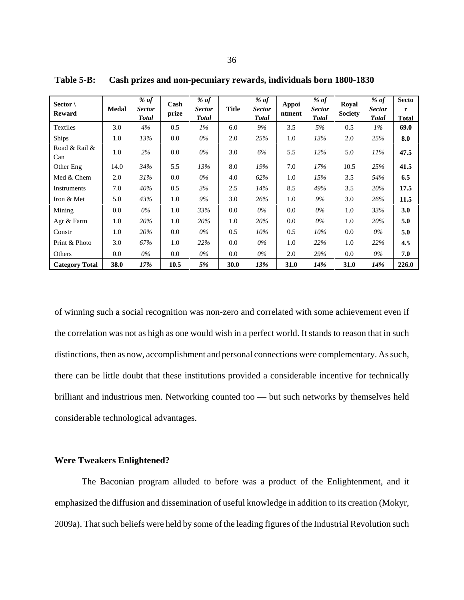| Sector \<br><b>Reward</b> | <b>Medal</b> | $%$ of<br><b>Sector</b><br><b>Total</b> | Cash<br>prize | $%$ of<br><b>Sector</b><br><b>Total</b> | <b>Title</b> | $%$ of<br><b>Sector</b><br><b>Total</b> | <b>Appoi</b><br>ntment | $%$ of<br><b>Sector</b><br><b>Total</b> | Royal<br><b>Society</b> | $%$ of<br><b>Sector</b><br><b>Total</b> | <b>Secto</b><br>r<br><b>Total</b> |
|---------------------------|--------------|-----------------------------------------|---------------|-----------------------------------------|--------------|-----------------------------------------|------------------------|-----------------------------------------|-------------------------|-----------------------------------------|-----------------------------------|
| Textiles                  | 3.0          | 4%                                      | 0.5           | $1\%$                                   | 6.0          | 9%                                      | 3.5                    | 5%                                      | 0.5                     | $1\%$                                   | 69.0                              |
| Ships                     | 1.0          | 13%                                     | 0.0           | 0%                                      | 2.0          | 25%                                     | 1.0                    | 13%                                     | 2.0                     | 25%                                     | 8.0                               |
| Road & Rail &<br>Can      | 1.0          | 2%                                      | 0.0           | 0%                                      | 3.0          | 6%                                      | 5.5                    | $12\%$                                  | 5.0                     | 11%                                     | 47.5                              |
| Other Eng                 | 14.0         | 34%                                     | 5.5           | 13%                                     | 8.0          | 19%                                     | 7.0                    | 17%                                     | 10.5                    | 25%                                     | 41.5                              |
| Med & Chem                | 2.0          | 31%                                     | 0.0           | $0\%$                                   | 4.0          | 62%                                     | 1.0                    | 15%                                     | 3.5                     | 54%                                     | 6.5                               |
| Instruments               | 7.0          | 40%                                     | 0.5           | 3%                                      | 2.5          | 14%                                     | 8.5                    | 49%                                     | 3.5                     | 20%                                     | 17.5                              |
| Iron & Met                | 5.0          | 43%                                     | 1.0           | 9%                                      | 3.0          | 26%                                     | 1.0                    | 9%                                      | 3.0                     | 26%                                     | 11.5                              |
| Mining                    | 0.0          | $0\%$                                   | 1.0           | 33%                                     | 0.0          | $0\%$                                   | 0.0                    | $0\%$                                   | 1.0                     | 33%                                     | 3.0                               |
| Agr & Farm                | 1.0          | 20%                                     | 1.0           | 20%                                     | 1.0          | 20%                                     | 0.0                    | $0\%$                                   | 1.0                     | 20%                                     | 5.0                               |
| Constr                    | 1.0          | 20%                                     | 0.0           | $0\%$                                   | 0.5          | 10%                                     | 0.5                    | $10\%$                                  | 0.0                     | 0%                                      | 5.0                               |
| Print & Photo             | 3.0          | 67%                                     | 1.0           | 22%                                     | 0.0          | 0%                                      | 1.0                    | 22%                                     | 1.0                     | 22%                                     | 4.5                               |
| Others                    | 0.0          | $0\%$                                   | 0.0           | 0%                                      | 0.0          | $0\%$                                   | 2.0                    | 29%                                     | 0.0                     | $0\%$                                   | 7.0                               |
| <b>Category Total</b>     | 38.0         | 17%                                     | 10.5          | 5%                                      | 30.0         | 13%                                     | 31.0                   | 14%                                     | 31.0                    | 14%                                     | 226.0                             |

**Table 5-B: Cash prizes and non-pecuniary rewards, individuals born 1800-1830**

of winning such a social recognition was non-zero and correlated with some achievement even if the correlation was not as high as one would wish in a perfect world. It stands to reason that in such distinctions, then as now, accomplishment and personal connections were complementary. As such, there can be little doubt that these institutions provided a considerable incentive for technically brilliant and industrious men. Networking counted too — but such networks by themselves held considerable technological advantages.

## **Were Tweakers Enlightened?**

The Baconian program alluded to before was a product of the Enlightenment, and it emphasized the diffusion and dissemination of useful knowledge in addition to its creation (Mokyr, 2009a). That such beliefs were held by some of the leading figures of the Industrial Revolution such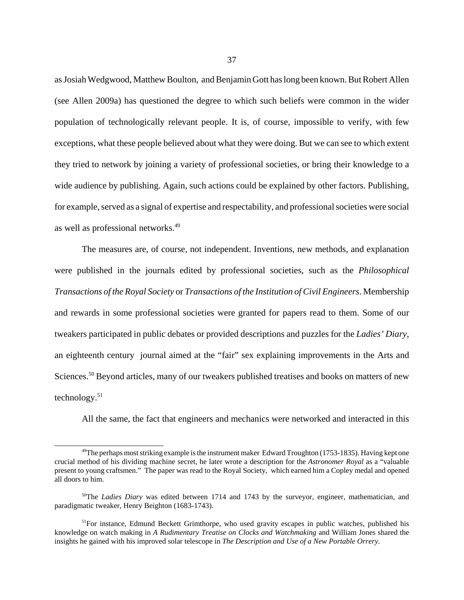as Josiah Wedgwood, Matthew Boulton, and Benjamin Gott has long been known. But Robert Allen (see Allen 2009a) has questioned the degree to which such beliefs were common in the wider population of technologically relevant people. It is, of course, impossible to verify, with few exceptions, what these people believed about what they were doing. But we can see to which extent they tried to network by joining a variety of professional societies, or bring their knowledge to a wide audience by publishing. Again, such actions could be explained by other factors. Publishing, for example, served as a signal of expertise and respectability, and professional societies were social as well as professional networks.<sup>49</sup>

The measures are, of course, not independent. Inventions, new methods, and explanation were published in the journals edited by professional societies, such as the *Philosophical Transactions of the Royal Society* or *Transactions of the Institution of Civil Engineers*. Membership and rewards in some professional societies were granted for papers read to them. Some of our tweakers participated in public debates or provided descriptions and puzzles for the *Ladies' Diary*, an eighteenth century journal aimed at the "fair" sex explaining improvements in the Arts and Sciences.<sup>50</sup> Beyond articles, many of our tweakers published treatises and books on matters of new technology. $51$ 

All the same, the fact that engineers and mechanics were networked and interacted in this

<sup>&</sup>lt;sup>49</sup>The perhaps most striking example is the instrument maker Edward Troughton (1753-1835). Having kept one crucial method of his dividing machine secret, he later wrote a description for the *Astronomer Royal* as a "valuable present to young craftsmen." The paper was read to the Royal Society, which earned him a Copley medal and opened all doors to him.

<sup>&</sup>lt;sup>50</sup>The *Ladies Diary* was edited between 1714 and 1743 by the surveyor, engineer, mathematician, and paradigmatic tweaker, Henry Beighton (1683-1743).

<sup>&</sup>lt;sup>51</sup>For instance, Edmund Beckett Grimthorpe, who used gravity escapes in public watches, published his knowledge on watch making in *A Rudimentary Treatise on Clocks and Watchmaking* and William Jones shared the insights he gained with his improved solar telescope in *The Description and Use of a New Portable Orrery*.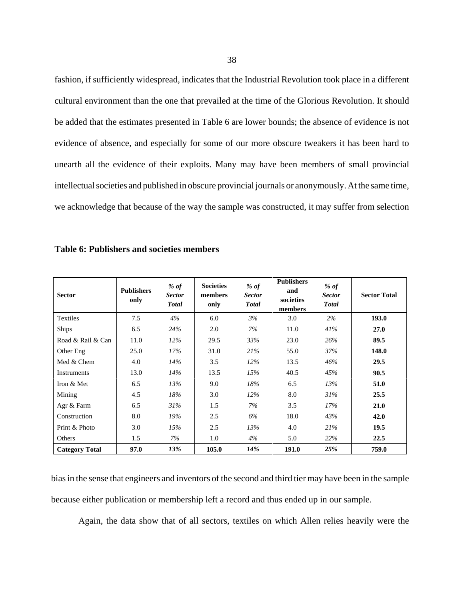fashion, if sufficiently widespread, indicates that the Industrial Revolution took place in a different cultural environment than the one that prevailed at the time of the Glorious Revolution. It should be added that the estimates presented in Table 6 are lower bounds; the absence of evidence is not evidence of absence, and especially for some of our more obscure tweakers it has been hard to unearth all the evidence of their exploits. Many may have been members of small provincial intellectual societies and published in obscure provincial journals or anonymously. At the same time, we acknowledge that because of the way the sample was constructed, it may suffer from selection

| <b>Sector</b>         | <b>Publishers</b><br>only | $%$ of<br><b>Sector</b><br><b>Total</b> | <b>Societies</b><br>members<br>only | $%$ of<br><b>Sector</b><br><b>Total</b> | <b>Publishers</b><br>and<br>societies<br>members | $%$ of<br><b>Sector</b><br><b>Total</b> | <b>Sector Total</b> |
|-----------------------|---------------------------|-----------------------------------------|-------------------------------------|-----------------------------------------|--------------------------------------------------|-----------------------------------------|---------------------|
| Textiles              | 7.5                       | 4%                                      | 6.0                                 | 3%                                      | 3.0                                              | 2%                                      | 193.0               |
| Ships                 | 6.5                       | 24%                                     | 2.0                                 | 7%                                      | 11.0                                             | 41%                                     | 27.0                |
| Road & Rail & Can     | 11.0                      | $12\%$                                  | 29.5                                | 33%                                     | 23.0                                             | 26%                                     | 89.5                |
| Other Eng             | 25.0                      | 17%                                     | 31.0                                | 21%                                     | 55.0                                             | 37%                                     | 148.0               |
| Med & Chem            | 4.0                       | 14%                                     | 3.5                                 | $12\%$                                  | 13.5                                             | 46%                                     | 29.5                |
| Instruments           | 13.0                      | 14%                                     | 13.5                                | 15%                                     | 40.5                                             | 45%                                     | 90.5                |
| Iron & Met            | 6.5                       | 13%                                     | 9.0                                 | 18%                                     | 6.5                                              | 13%                                     | 51.0                |
| Mining                | 4.5                       | 18%                                     | 3.0                                 | $12\%$                                  | 8.0                                              | 31%                                     | 25.5                |
| Agr & Farm            | 6.5                       | 31%                                     | 1.5                                 | 7%                                      | 3.5                                              | 17%                                     | 21.0                |
| Construction          | 8.0                       | 19%                                     | 2.5                                 | 6%                                      | 18.0                                             | 43%                                     | 42.0                |
| Print & Photo         | 3.0                       | 15%                                     | 2.5                                 | 13%                                     | 4.0                                              | 21%                                     | 19.5                |
| Others                | 1.5                       | 7%                                      | 1.0                                 | 4%                                      | 5.0                                              | 22%                                     | 22.5                |
| <b>Category Total</b> | 97.0                      | 13%                                     | 105.0                               | 14%                                     | 191.0                                            | 25%                                     | 759.0               |

**Table 6: Publishers and societies members**

bias in the sense that engineers and inventors of the second and third tier may have been in the sample because either publication or membership left a record and thus ended up in our sample.

Again, the data show that of all sectors, textiles on which Allen relies heavily were the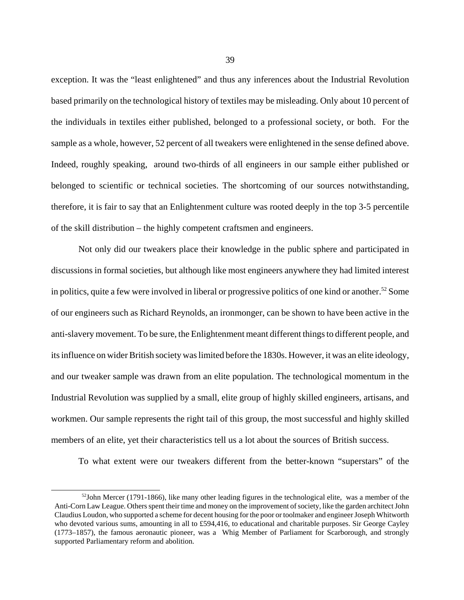exception. It was the "least enlightened" and thus any inferences about the Industrial Revolution based primarily on the technological history of textiles may be misleading. Only about 10 percent of the individuals in textiles either published, belonged to a professional society, or both. For the sample as a whole, however, 52 percent of all tweakers were enlightened in the sense defined above. Indeed, roughly speaking, around two-thirds of all engineers in our sample either published or belonged to scientific or technical societies. The shortcoming of our sources notwithstanding, therefore, it is fair to say that an Enlightenment culture was rooted deeply in the top 3-5 percentile of the skill distribution – the highly competent craftsmen and engineers.

Not only did our tweakers place their knowledge in the public sphere and participated in discussions in formal societies, but although like most engineers anywhere they had limited interest in politics, quite a few were involved in liberal or progressive politics of one kind or another.<sup>52</sup> Some of our engineers such as Richard Reynolds, an ironmonger, can be shown to have been active in the anti-slavery movement. To be sure, the Enlightenment meant different things to different people, and its influence on wider British society was limited before the 1830s. However, it was an elite ideology, and our tweaker sample was drawn from an elite population. The technological momentum in the Industrial Revolution was supplied by a small, elite group of highly skilled engineers, artisans, and workmen. Our sample represents the right tail of this group, the most successful and highly skilled members of an elite, yet their characteristics tell us a lot about the sources of British success.

To what extent were our tweakers different from the better-known "superstars" of the

 $52$ John Mercer (1791-1866), like many other leading figures in the technological elite, was a member of the Anti-Corn Law League. Others spent their time and money on the improvement of society, like the garden architect John Claudius Loudon, who supported a scheme for decent housing for the poor or toolmaker and engineer Joseph Whitworth who devoted various sums, amounting in all to £594,416, to educational and charitable purposes. Sir George Cayley (1773–1857), the famous aeronautic pioneer, was a Whig Member of Parliament for Scarborough, and strongly supported Parliamentary reform and abolition.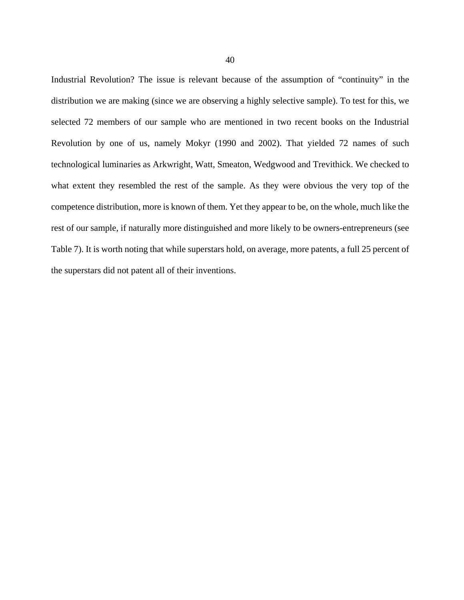Industrial Revolution? The issue is relevant because of the assumption of "continuity" in the distribution we are making (since we are observing a highly selective sample). To test for this, we selected 72 members of our sample who are mentioned in two recent books on the Industrial Revolution by one of us, namely Mokyr (1990 and 2002). That yielded 72 names of such technological luminaries as Arkwright, Watt, Smeaton, Wedgwood and Trevithick. We checked to what extent they resembled the rest of the sample. As they were obvious the very top of the competence distribution, more is known of them. Yet they appear to be, on the whole, much like the rest of our sample, if naturally more distinguished and more likely to be owners-entrepreneurs (see Table 7). It is worth noting that while superstars hold, on average, more patents, a full 25 percent of the superstars did not patent all of their inventions.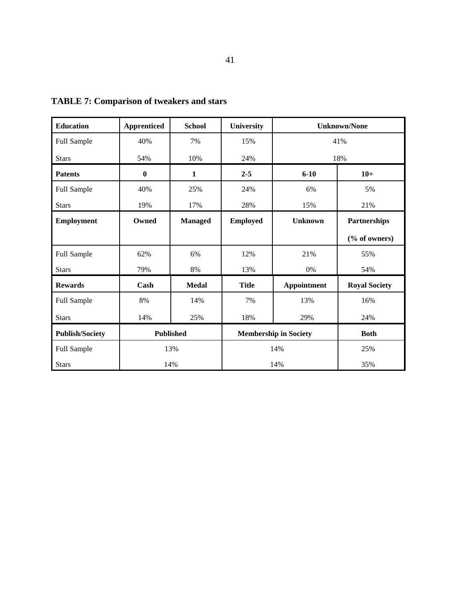| <b>Education</b>       | <b>Apprenticed</b> | <b>School</b>  | <b>University</b> |                              | <b>Unknown/None</b>  |  |
|------------------------|--------------------|----------------|-------------------|------------------------------|----------------------|--|
| Full Sample            | 40%                | 7%             | 15%               |                              | 41%                  |  |
| <b>Stars</b>           | 54%                | 10%            | 24%               | 18%                          |                      |  |
| <b>Patents</b>         | $\bf{0}$           | $\mathbf{1}$   | $2 - 5$           | $6 - 10$                     | $10+$                |  |
| Full Sample            | 40%                | 25%            | 24%               | 6%                           | 5%                   |  |
| <b>Stars</b>           | 19%                | 17%            | 28%               | 15%                          | 21%                  |  |
| <b>Employment</b>      | Owned              | <b>Managed</b> | <b>Employed</b>   | <b>Unknown</b>               | <b>Partnerships</b>  |  |
|                        |                    |                |                   |                              | (% of owners)        |  |
| Full Sample            | 62%                | 6%             | 12%               | 21%                          | 55%                  |  |
| <b>Stars</b>           | 79%                | 8%             | 13%               | 0%                           | 54%                  |  |
| <b>Rewards</b>         | Cash               | <b>Medal</b>   | <b>Title</b>      | <b>Appointment</b>           | <b>Royal Society</b> |  |
| Full Sample            | $8\%$              | 14%            | 7%                | 13%                          | 16%                  |  |
| <b>Stars</b>           | 14%                | 25%            | 18%               | 29%                          | 24%                  |  |
| <b>Publish/Society</b> | <b>Published</b>   |                |                   | <b>Membership in Society</b> |                      |  |
| Full Sample            |                    | 13%            | 14%               | 25%                          |                      |  |
| <b>Stars</b>           |                    | 14%            |                   | 14%                          | 35%                  |  |

**TABLE 7: Comparison of tweakers and stars**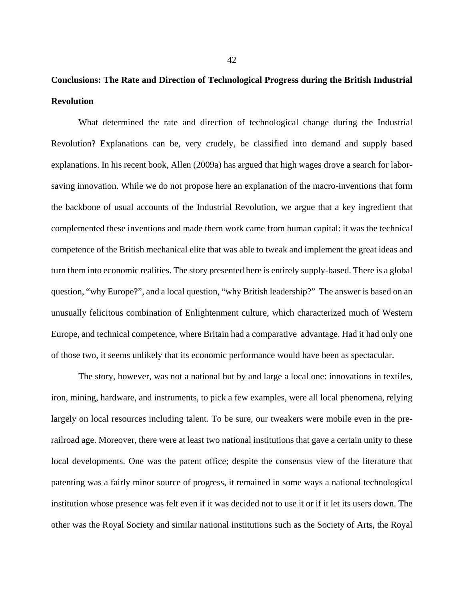# **Conclusions: The Rate and Direction of Technological Progress during the British Industrial Revolution**

What determined the rate and direction of technological change during the Industrial Revolution? Explanations can be, very crudely, be classified into demand and supply based explanations. In his recent book, Allen (2009a) has argued that high wages drove a search for laborsaving innovation. While we do not propose here an explanation of the macro-inventions that form the backbone of usual accounts of the Industrial Revolution, we argue that a key ingredient that complemented these inventions and made them work came from human capital: it was the technical competence of the British mechanical elite that was able to tweak and implement the great ideas and turn them into economic realities. The story presented here is entirely supply-based. There is a global question, "why Europe?", and a local question, "why British leadership?" The answer is based on an unusually felicitous combination of Enlightenment culture, which characterized much of Western Europe, and technical competence, where Britain had a comparative advantage. Had it had only one of those two, it seems unlikely that its economic performance would have been as spectacular.

The story, however, was not a national but by and large a local one: innovations in textiles, iron, mining, hardware, and instruments, to pick a few examples, were all local phenomena, relying largely on local resources including talent. To be sure, our tweakers were mobile even in the prerailroad age. Moreover, there were at least two national institutions that gave a certain unity to these local developments. One was the patent office; despite the consensus view of the literature that patenting was a fairly minor source of progress, it remained in some ways a national technological institution whose presence was felt even if it was decided not to use it or if it let its users down. The other was the Royal Society and similar national institutions such as the Society of Arts, the Royal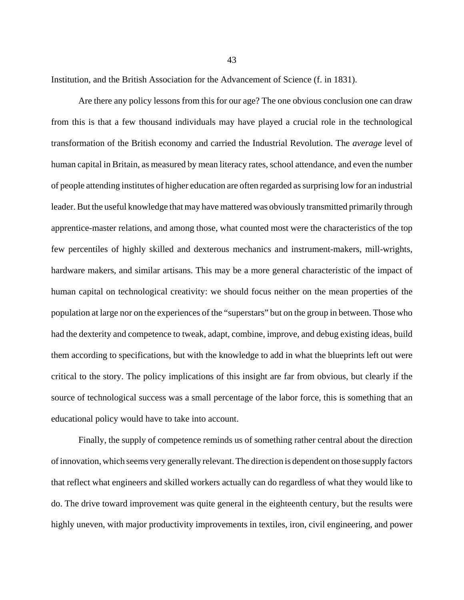Institution, and the British Association for the Advancement of Science (f. in 1831).

Are there any policy lessons from this for our age? The one obvious conclusion one can draw from this is that a few thousand individuals may have played a crucial role in the technological transformation of the British economy and carried the Industrial Revolution. The *average* level of human capital in Britain, as measured by mean literacy rates, school attendance, and even the number of people attending institutes of higher education are often regarded as surprising low for an industrial leader. But the useful knowledge that may have mattered was obviously transmitted primarily through apprentice-master relations, and among those, what counted most were the characteristics of the top few percentiles of highly skilled and dexterous mechanics and instrument-makers, mill-wrights, hardware makers, and similar artisans. This may be a more general characteristic of the impact of human capital on technological creativity: we should focus neither on the mean properties of the population at large nor on the experiences of the "superstars" but on the group in between. Those who had the dexterity and competence to tweak, adapt, combine, improve, and debug existing ideas, build them according to specifications, but with the knowledge to add in what the blueprints left out were critical to the story. The policy implications of this insight are far from obvious, but clearly if the source of technological success was a small percentage of the labor force, this is something that an educational policy would have to take into account.

Finally, the supply of competence reminds us of something rather central about the direction of innovation, which seems very generally relevant. The direction is dependent on those supply factors that reflect what engineers and skilled workers actually can do regardless of what they would like to do. The drive toward improvement was quite general in the eighteenth century, but the results were highly uneven, with major productivity improvements in textiles, iron, civil engineering, and power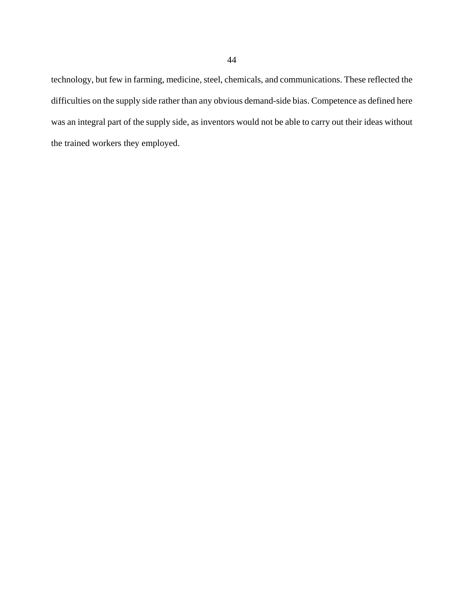technology, but few in farming, medicine, steel, chemicals, and communications. These reflected the difficulties on the supply side rather than any obvious demand-side bias. Competence as defined here was an integral part of the supply side, as inventors would not be able to carry out their ideas without the trained workers they employed.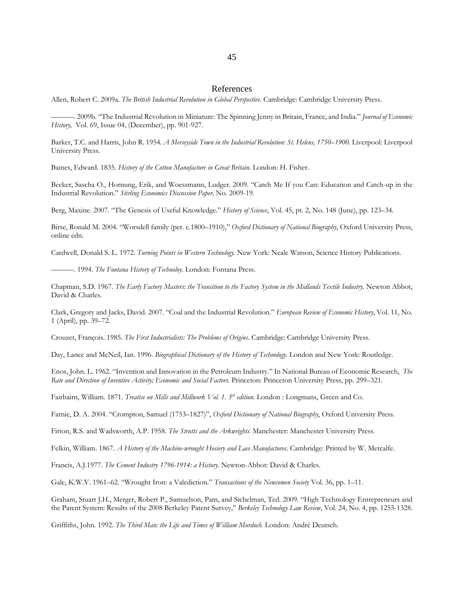### References

Allen, Robert C. 2009a. *The British Industrial Revolution in Global Perspective*. Cambridge: Cambridge University Press.

———. 2009b. "The Industrial Revolution in Miniature: The Spinning Jenny in Britain, France, and India." *Journal of Economic History,* Vol. 69, Issue 04, (December), pp. 901-927.

Barker, T.C. and Harris, John R. 1954. *A Merseyside Town in the Industrial Revolution: St. Helens, 1750–1900*. Liverpool: Liverpool University Press.

Baines, Edward. 1835. *History of the Cotton Manufacture in Great Britain.* London: H. Fisher.

Becker, Sascha O., Hornung, Erik, and Woessmann, Ludger. 2009. "Catch Me If you Can: Education and Catch-up in the Industrial Revolution." *Stirling Economics Discussion Paper,* No. 2009-19.

Berg, Maxine. 2007. "The Genesis of Useful Knowledge." *History of Science*, Vol. 45, pt. 2, No. 148 (June), pp. 123–34.

Birse, Ronald M. 2004. "Worsdell family (per. c.1800–1910)," *Oxford Dictionary of National Biography*, Oxford University Press, online edn.

Cardwell, Donald S. L. 1972. *Turning Points in Western Technology*. New York: Neale Watson, Science History Publications.

———. 1994. *The Fontana History of Technoloy*. London: Fontana Press.

Chapman, S.D. 1967. *The Early Factory Masters: the Transition to the Factory System in the Midlands Textile Industry.* Newton Abbot, David & Charles.

Clark, Gregory and Jacks, David. 2007. "Coal and the Industrial Revolution." *European Review of Economic History*, Vol. 11, No. 1 (April), pp. 39–72.

Crouzet, François. 1985. *The First Industrialists: The Problems of Origins*. Cambridge: Cambridge University Press.

Day, Lance and McNeil, Ian. 1996. *Biographical Dictionary of the History of Technology.* London and New York: Routledge.

Enos, John. L. 1962. "Invention and Innovation in the Petroleum Industry." In National Bureau of Economic Research, *The Rate and Direction of Inventive Activity; Economic and Social Factors*. Princeton: Princeton University Press, pp. 299–321.

Fairbairn, William. 1871. *Treatise on Mills and Millwork Vol. 1. 3rd edition.* London : Longmans, Green and Co.

Farnie, D. A. 2004. "Crompton, Samuel (1753–1827)", *Oxford Dictionary of National Biography*, Oxford University Press.

Fitton, R.S. and Wadsworth, A.P. 1958. *The Strutts and the Arkwrights*. Manchester: Manchester University Press.

Felkin, William. 1867. *A History of the Machine-wrought Hosiery and Lace Manufactures*. Cambridge: Printed by W. Metcalfe.

Francis, A.J.1977. *The Cement Industry 1796-1914: a History.* Newton-Abbot: David & Charles.

Gale, K.W.V. 1961–62. "Wrought Iron: a Valediction." *Transactions of the Newcomen Society* Vol. 36, pp. 1–11.

Graham, Stuart J.H., Merger, Robert P., Samuelson, Pam, and Sichelman, Ted. 2009. "High Technology Entrepreneurs and the Patent System: Results of the 2008 Berkeley Patent Survey," *Berkeley Technology Law Review*, Vol. 24, No. 4, pp. 1255-1328.

Griffiths, John. 1992. *The Third Man: the Life and Times of William Murdoch.* London: André Deutsch.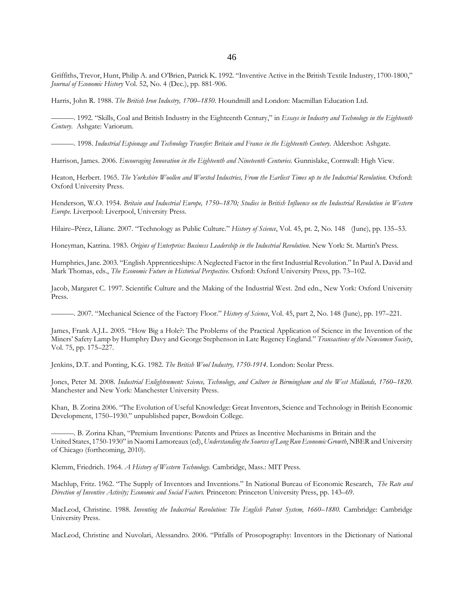Griffiths, Trevor, Hunt, Philip A. and O'Brien, Patrick K. 1992. "Inventive Active in the British Textile Industry, 1700-1800," *Journal of Economic History* Vol. 52, No. 4 (Dec.), pp. 881-906.

Harris, John R. 1988. *The British Iron Industry, 1700–1850*. Houndmill and London: Macmillan Education Ltd.

———. 1992. "Skills, Coal and British Industry in the Eighteenth Century," in *Essays in Industry and Technology in the Eighteenth Century*. Ashgate: Variorum.

———. 1998. *Industrial Espionage and Technology Transfer: Britain and France in the Eighteenth Century*. Aldershot: Ashgate.

Harrison, James. 2006. *Encouraging Innovation in the Eighteenth and Nineteenth Centuries.* Gunnislake, Cornwall: High View.

Heaton, Herbert. 1965. *The Yorkshire Woollen and Worsted Industries, From the Earliest Times up to the Industrial Revolution.* Oxford: Oxford University Press.

Henderson, W.O. 1954. *Britain and Industrial Europe, 1750–1870; Studies in British Influence on the Industrial Revolution in Western Europe.* Liverpool: Liverpool, University Press.

Hilaire–Pérez, Liliane. 2007. "Technology as Public Culture." *History of Science*, Vol. 45, pt. 2, No. 148 (June), pp. 135–53.

Honeyman, Katrina. 1983. *Origins of Enterprise: Business Leadership in the Industrial Revolution*. New York: St. Martin's Press.

Humphries, Jane. 2003. "English Apprenticeships: A Neglected Factor in the first Industrial Revolution." In Paul A. David and Mark Thomas, eds., *The Economic Future in Historical Perspective*. Oxford: Oxford University Press, pp. 73–102.

Jacob, Margaret C. 1997. Scientific Culture and the Making of the Industrial West. 2nd edn., New York: Oxford University Press.

———. 2007. "Mechanical Science of the Factory Floor." *History of Science*, Vol. 45, part 2, No. 148 (June), pp. 197–221.

James, Frank A.J.L. 2005. "How Big a Hole?: The Problems of the Practical Application of Science in the Invention of the Miners' Safety Lamp by Humphry Davy and George Stephenson in Late Regency England." *Transactions of the Newcomen Society*, Vol. 75, pp. 175–227.

Jenkins, D.T. and Ponting, K.G. 1982. *The British Wool Industry, 1750-1914*. London: Scolar Press.

Jones, Peter M. 2008. *Industrial Enlightenment: Science, Technology, and Culture in Birmingham and the West Midlands, 1760–1820*. Manchester and New York: Manchester University Press.

Khan, B. Zorina 2006. "The Evolution of Useful Knowledge: Great Inventors, Science and Technology in British Economic Development, 1750–1930." unpublished paper, Bowdoin College.

———. B. Zorina Khan, "Premium Inventions: Patents and Prizes as Incentive Mechanisms in Britain and the United States, 1750-1930" in Naomi Lamoreaux (ed), *Understanding the Sources of Long Run Economic Growth*, NBER and University of Chicago (forthcoming, 2010).

Klemm, Friedrich. 1964. *A History of Western Technology.* Cambridge, Mass.: MIT Press.

Machlup, Fritz. 1962. "The Supply of Inventors and Inventions." In National Bureau of Economic Research, *The Rate and Direction of Inventive Activity; Economic and Social Factors.* Princeton: Princeton University Press, pp. 143–69.

MacLeod, Christine. 1988. *Inventing the Industrial Revolution: The English Patent System, 1660–1880.* Cambridge: Cambridge University Press.

MacLeod, Christine and Nuvolari, Alessandro. 2006. "Pitfalls of Prosopography: Inventors in the Dictionary of National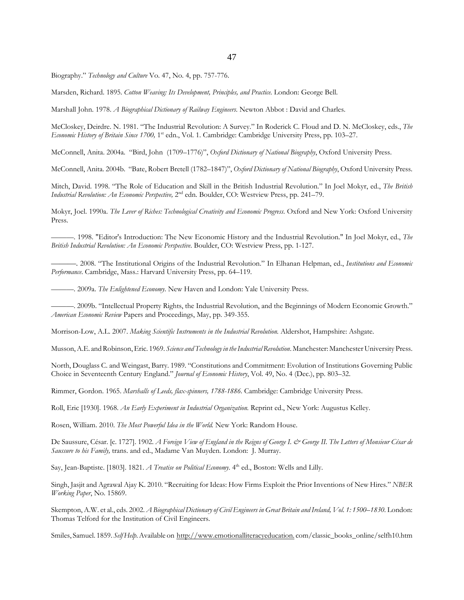47

Biography." *Technology and Culture* Vo. 47, No. 4, pp. 757-776.

Marsden, Richard. 1895. *Cotton Weaving: Its Development, Principles, and Practice.* London: George Bell.

Marshall John. 1978. *A Biographical Dictionary of Railway Engineers*. Newton Abbot : David and Charles.

McCloskey, Deirdre. N. 1981. "The Industrial Revolution: A Survey." In Roderick C. Floud and D. N. McCloskey, eds., *The Economic History of Britain Since 1700*, 1<sup>st</sup> edn., Vol. 1. Cambridge: Cambridge University Press, pp. 103-27.

McConnell, Anita. 2004a. "Bird, John (1709–1776)", *Oxford Dictionary of National Biography*, Oxford University Press.

McConnell, Anita. 2004b. "Bate, Robert Bretell (1782–1847)", *Oxford Dictionary of National Biography*, Oxford University Press.

Mitch, David. 1998. "The Role of Education and Skill in the British Industrial Revolution." In Joel Mokyr, ed., *The British Industrial Revolution: An Economic Perspective,* 2nd edn. Boulder, CO: Westview Press, pp. 241–79.

Mokyr, Joel. 1990a. *The Lever of Riches: Technological Creativity and Economic Progress*. Oxford and New York: Oxford University Press.

———. 1998. "Editor's Introduction: The New Economic History and the Industrial Revolution." In Joel Mokyr, ed., *The British Industrial Revolution: An Economic Perspective*. Boulder, CO: Westview Press, pp. 1-127.

———. 2008. "The Institutional Origins of the Industrial Revolution." In Elhanan Helpman, ed., *Institutions and Economic Performance*. Cambridge, Mass.: Harvard University Press, pp. 64–119.

———. 2009a. *The Enlightened Economy*. New Haven and London: Yale University Press.

———. 2009b. "Intellectual Property Rights, the Industrial Revolution, and the Beginnings of Modern Economic Growth." *American Economic Review* Papers and Proceedings, May, pp. 349-355.

Morrison-Low, A.L. 2007. *Making Scientific Instruments in the Industrial Revolution.* Aldershot, Hampshire: Ashgate.

Musson, A.E. and Robinson, Eric*.* 1969. *Science and Technology in the Industrial Revolution*. Manchester: Manchester University Press.

North, Douglass C. and Weingast, Barry. 1989. "Constitutions and Commitment: Evolution of Institutions Governing Public Choice in Seventeenth Century England." *Journal of Economic History*, Vol. 49, No. 4 (Dec.), pp. 803–32.

Rimmer, Gordon. 1965. *Marshalls of Leeds, flax-spinners, 1788-1886.* Cambridge: Cambridge University Press.

Roll, Eric [1930]. 1968. *An Early Experiment in Industrial Organization.* Reprint ed., New York: Augustus Kelley.

Rosen, William. 2010. *The Most Powerful Idea in the World.* New York: Random House.

De Saussure, César. [c. 1727]. 1902. *A Foreign View of England in the Reigns of George I. & George II. The Letters of Monsieur César de Saussure to his Family,* trans. and ed., Madame Van Muyden. London: J. Murray.

Say, Jean-Baptiste. [1803]. 1821. *A Treatise on Political Economy*. 4<sup>th</sup> ed., Boston: Wells and Lilly.

Singh, Jasjit and Agrawal Ajay K. 2010. "Recruiting for Ideas: How Firms Exploit the Prior Inventions of New Hires." *NBER Working Paper*, No. 15869.

Skempton, A.W. et al., eds. 2002. *A Biographical Dictionary of Civil Engineers in Great Britain and Ireland, Vol. 1: 1500–1830*. London: Thomas Telford for the Institution of Civil Engineers.

Smiles, Samuel. 1859. *Self Help*. Available on http://www.emotionalliteracyeducation. com/classic\_books\_online/selfh10.htm